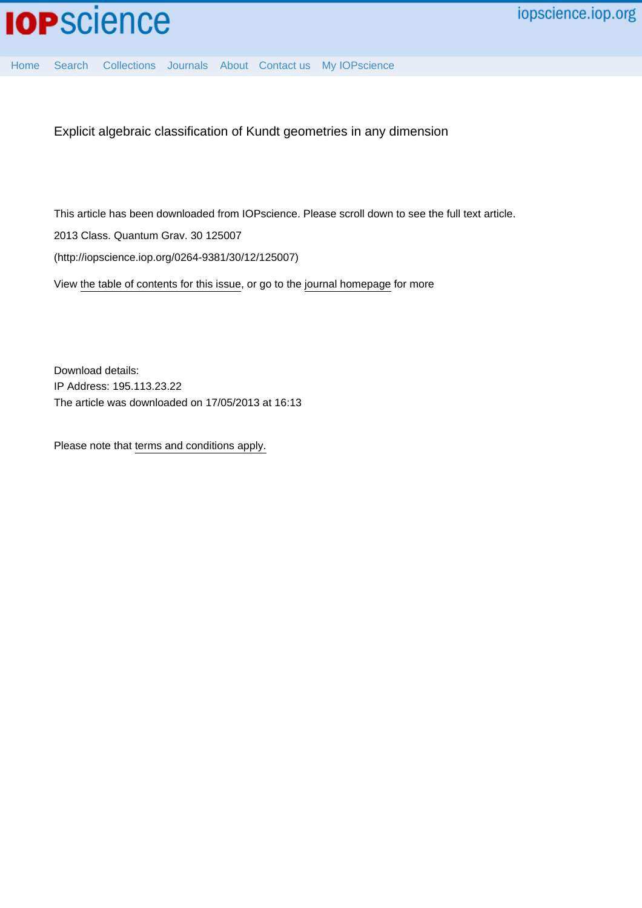

[Home](http://iopscience.iop.org/) [Search](http://iopscience.iop.org/search) [Collections](http://iopscience.iop.org/collections) [Journals](http://iopscience.iop.org/journals) [About](http://iopscience.iop.org/page/aboutioppublishing) [Contact us](http://iopscience.iop.org/contact) [My IOPscience](http://iopscience.iop.org/myiopscience)

Explicit algebraic classification of Kundt geometries in any dimension

This article has been downloaded from IOPscience. Please scroll down to see the full text article.

2013 Class. Quantum Grav. 30 125007

(http://iopscience.iop.org/0264-9381/30/12/125007)

View [the table of contents for this issue](http://iopscience.iop.org/0264-9381/30/12), or go to the [journal homepage](http://iopscience.iop.org/0264-9381) for more

Download details: IP Address: 195.113.23.22 The article was downloaded on 17/05/2013 at 16:13

Please note that [terms and conditions apply.](http://iopscience.iop.org/page/terms)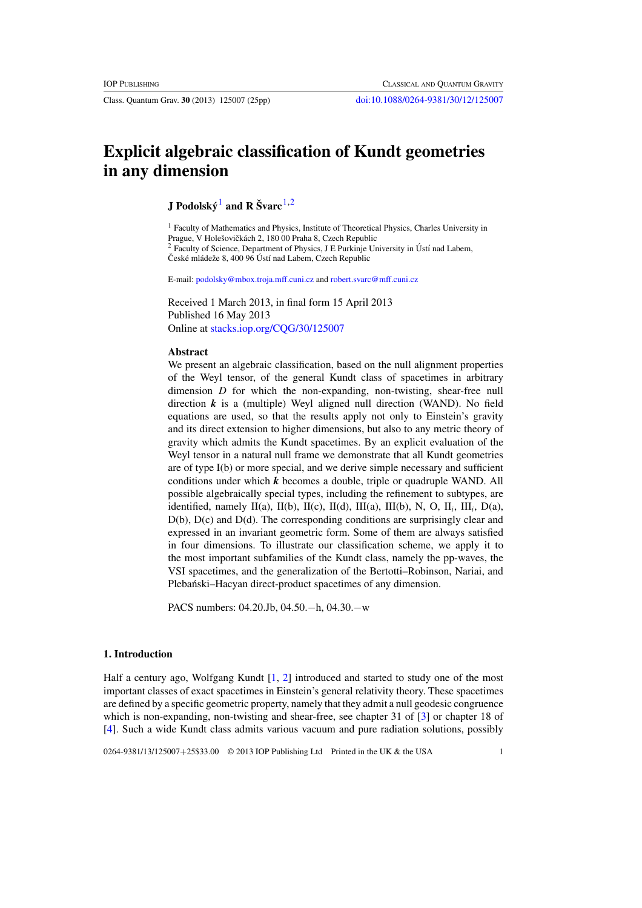# **Explicit algebraic classification of Kundt geometries in any dimension**

**J** Podolský<sup>1</sup> and **R** Švarc<sup>1,2</sup>

<sup>1</sup> Faculty of Mathematics and Physics, Institute of Theoretical Physics, Charles University in Prague, V Holešovičkách 2, 180 00 Praha 8, Czech Republic Faculty of Science, Department of Physics, J E Purkinje University in Ústí nad Labem, České mládeže 8, 400 96 Ústí nad Labem, Czech Republic

E-mail: [podolsky@mbox.troja.mff.cuni.cz](mailto:podolsky@mbox.troja.mff.cuni.cz) and [robert.svarc@mff.cuni.cz](mailto:robert.svarc@mff.cuni.cz)

Received 1 March 2013, in final form 15 April 2013 Published 16 May 2013 Online at [stacks.iop.org/CQG/30/125007](http://stacks.iop.org/CQG/30/125007)

# **Abstract**

We present an algebraic classification, based on the null alignment properties of the Weyl tensor, of the general Kundt class of spacetimes in arbitrary dimension *D* for which the non-expanding, non-twisting, shear-free null direction  $k$  is a (multiple) Weyl aligned null direction (WAND). No field equations are used, so that the results apply not only to Einstein's gravity and its direct extension to higher dimensions, but also to any metric theory of gravity which admits the Kundt spacetimes. By an explicit evaluation of the Weyl tensor in a natural null frame we demonstrate that all Kundt geometries are of type I(b) or more special, and we derive simple necessary and sufficient conditions under which *k* becomes a double, triple or quadruple WAND. All possible algebraically special types, including the refinement to subtypes, are identified, namely II(a), II(b), II(c), II(d), III(a), III(b), N, O, II<sub>i</sub>, III<sub>i</sub>, D(a), D(b), D(c) and D(d). The corresponding conditions are surprisingly clear and expressed in an invariant geometric form. Some of them are always satisfied in four dimensions. To illustrate our classification scheme, we apply it to the most important subfamilies of the Kundt class, namely the pp-waves, the VSI spacetimes, and the generalization of the Bertotti–Robinson, Nariai, and Plebański–Hacyan direct-product spacetimes of any dimension.

PACS numbers: 04.20.Jb, 04.50.−h, 04.30.−w

# **1. Introduction**

Half a century ago, Wolfgang Kundt [\[1](#page-23-0), [2\]](#page-23-0) introduced and started to study one of the most important classes of exact spacetimes in Einstein's general relativity theory. These spacetimes are defined by a specific geometric property, namely that they admit a null geodesic congruence which is non-expanding, non-twisting and shear-free, see chapter 31 of [\[3](#page-23-0)] or chapter 18 of [\[4](#page-23-0)]. Such a wide Kundt class admits various vacuum and pure radiation solutions, possibly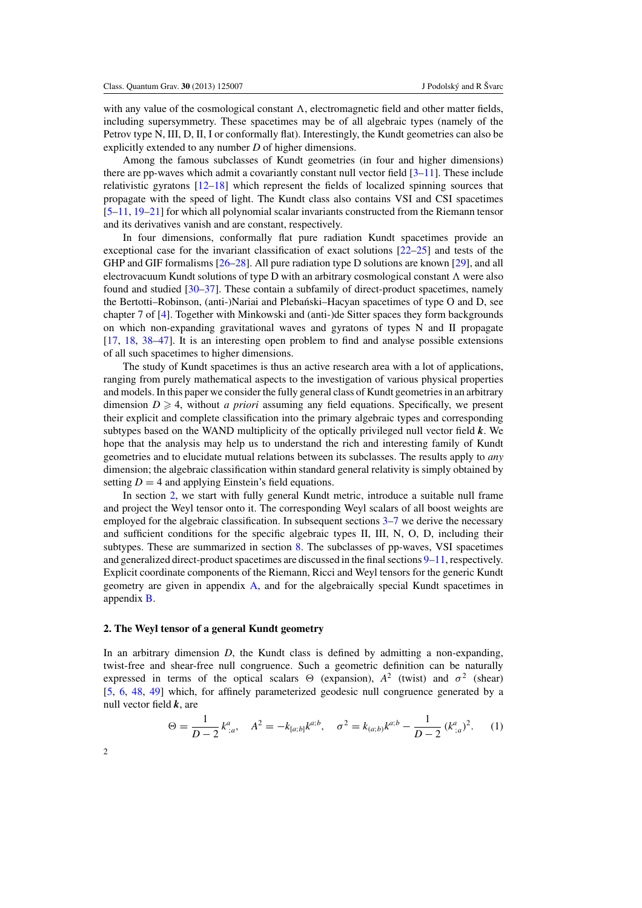<span id="page-2-0"></span>with any value of the cosmological constant  $\Lambda$ , electromagnetic field and other matter fields, including supersymmetry. These spacetimes may be of all algebraic types (namely of the Petrov type N, III, D, II, I or conformally flat). Interestingly, the Kundt geometries can also be explicitly extended to any number *D* of higher dimensions.

Among the famous subclasses of Kundt geometries (in four and higher dimensions) there are pp-waves which admit a covariantly constant null vector field  $[3-11]$ . These include relativistic gyratons [\[12–18](#page-23-0)] which represent the fields of localized spinning sources that propagate with the speed of light. The Kundt class also contains VSI and CSI spacetimes [\[5–11](#page-23-0), [19–21\]](#page-24-0) for which all polynomial scalar invariants constructed from the Riemann tensor and its derivatives vanish and are constant, respectively.

In four dimensions, conformally flat pure radiation Kundt spacetimes provide an exceptional case for the invariant classification of exact solutions [\[22–25\]](#page-24-0) and tests of the GHP and GIF formalisms [\[26–28](#page-24-0)]. All pure radiation type D solutions are known [\[29](#page-24-0)], and all electrovacuum Kundt solutions of type D with an arbitrary cosmological constant  $\Lambda$  were also found and studied [\[30–37](#page-24-0)]. These contain a subfamily of direct-product spacetimes, namely the Bertotti–Robinson, (anti-)Nariai and Plebanski–Hacyan spacetimes of type O and D, see ´ chapter 7 of [\[4](#page-23-0)]. Together with Minkowski and (anti-)de Sitter spaces they form backgrounds on which non-expanding gravitational waves and gyratons of types N and II propagate [\[17](#page-23-0), [18](#page-23-0), [38–47\]](#page-24-0). It is an interesting open problem to find and analyse possible extensions of all such spacetimes to higher dimensions.

The study of Kundt spacetimes is thus an active research area with a lot of applications, ranging from purely mathematical aspects to the investigation of various physical properties and models. In this paper we consider the fully general class of Kundt geometries in an arbitrary dimension  $D \geq 4$ , without *a priori* assuming any field equations. Specifically, we present their explicit and complete classification into the primary algebraic types and corresponding subtypes based on the WAND multiplicity of the optically privileged null vector field *k*. We hope that the analysis may help us to understand the rich and interesting family of Kundt geometries and to elucidate mutual relations between its subclasses. The results apply to *any* dimension; the algebraic classification within standard general relativity is simply obtained by setting  $D = 4$  and applying Einstein's field equations.

In section 2, we start with fully general Kundt metric, introduce a suitable null frame and project the Weyl tensor onto it. The corresponding Weyl scalars of all boost weights are employed for the algebraic classification. In subsequent sections  $3-7$  $3-7$  we derive the necessary and sufficient conditions for the specific algebraic types II, III, N, O, D, including their subtypes. These are summarized in section [8.](#page-11-0) The subclasses of pp-waves, VSI spacetimes and generalized direct-product spacetimes are discussed in the final sections [9–](#page-12-0)[11,](#page-15-0) respectively. Explicit coordinate components of the Riemann, Ricci and Weyl tensors for the generic Kundt geometry are given in appendix [A,](#page-18-0) and for the algebraically special Kundt spacetimes in appendix [B.](#page-20-0)

# **2. The Weyl tensor of a general Kundt geometry**

In an arbitrary dimension *D*, the Kundt class is defined by admitting a non-expanding, twist-free and shear-free null congruence. Such a geometric definition can be naturally expressed in terms of the optical scalars  $\Theta$  (expansion),  $A^2$  (twist) and  $\sigma^2$  (shear) [\[5](#page-23-0), [6,](#page-23-0) [48](#page-24-0), [49\]](#page-24-0) which, for affinely parameterized geodesic null congruence generated by a null vector field *k*, are

$$
\Theta = \frac{1}{D-2} k_{;a}^a, \quad A^2 = -k_{[a;b]} k^{a;b}, \quad \sigma^2 = k_{(a;b)} k^{a;b} - \frac{1}{D-2} (k_{;a}^a)^2. \tag{1}
$$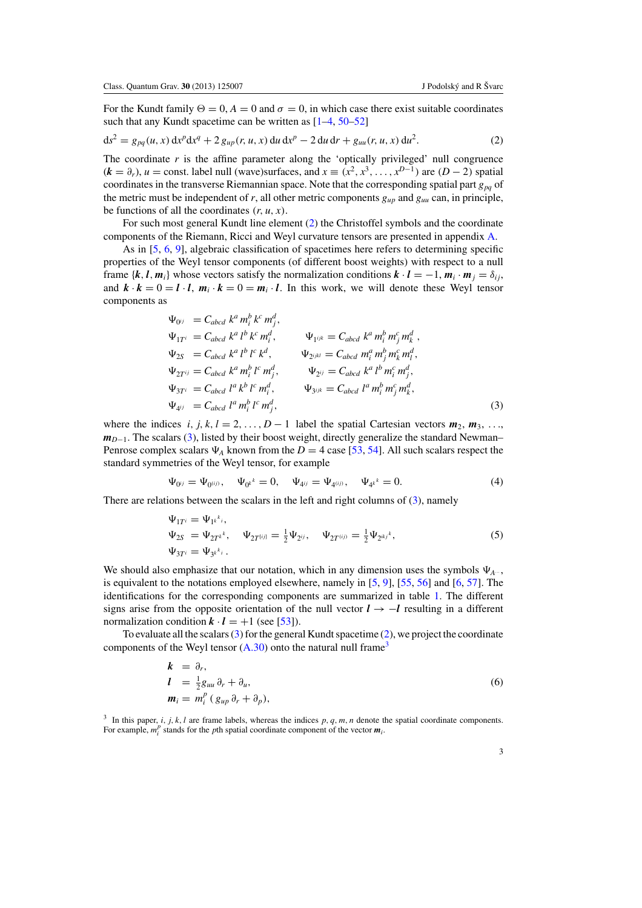<span id="page-3-0"></span>For the Kundt family  $\Theta = 0$ ,  $A = 0$  and  $\sigma = 0$ , in which case there exist suitable coordinates such that any Kundt spacetime can be written as  $[1-4, 50-52]$  $[1-4, 50-52]$  $[1-4, 50-52]$ 

$$
ds^{2} = g_{pq}(u, x) dx^{p} dx^{q} + 2 g_{up}(r, u, x) du dx^{p} - 2 du dr + g_{uu}(r, u, x) du^{2}.
$$
 (2)

The coordinate  $r$  is the affine parameter along the 'optically privileged' null congruence  $(k = \partial_r)$ ,  $u = \text{const.}$  label null (wave)surfaces, and  $x \equiv (x^2, x^3, \dots, x^{D-1})$  are  $(D-2)$  spatial coordinates in the transverse Riemannian space. Note that the corresponding spatial part *gpq* of the metric must be independent of *r*, all other metric components *gup* and *guu* can, in principle, be functions of all the coordinates  $(r, u, x)$ .

For such most general Kundt line element (2) the Christoffel symbols and the coordinate components of the Riemann, Ricci and Weyl curvature tensors are presented in appendix [A.](#page-18-0)

As in [\[5,](#page-23-0) [6](#page-23-0), [9\]](#page-23-0), algebraic classification of spacetimes here refers to determining specific properties of the Weyl tensor components (of different boost weights) with respect to a null frame  $\{k, l, m_i\}$  whose vectors satisfy the normalization conditions  $k \cdot l = -1$ ,  $m_i \cdot m_j = \delta_{ij}$ , and  $\mathbf{k} \cdot \mathbf{k} = 0 = \mathbf{l} \cdot \mathbf{l}$ ,  $\mathbf{m}_i \cdot \mathbf{k} = 0 = \mathbf{m}_i \cdot \mathbf{l}$ . In this work, we will denote these Weyl tensor components as

$$
\Psi_{0ij} = C_{abcd} k^a m_i^b k^c m_i^d, \n\Psi_{1T^i} = C_{abcd} k^a l^b k^c m_i^d, \n\Psi_{2S} = C_{abcd} k^a l^b l^c k^d, \n\Psi_{2jik} = C_{abcd} m_i^a m_j^b m_i^c m_i^d, \n\Psi_{2T^{ij}} = C_{abcd} k^a m_i^b l^c m_j^d, \n\Psi_{3T^i} = C_{abcd} l^a k^b l^c m_i^d, \n\Psi_{3T^i} = C_{abcd} l^a m_i^b l^c m_j^d, \n\Psi_{3jk} = C_{abcd} l^a m_i^b m_j^c m_k^d, \n\Psi_{4ij} = C_{abcd} l^a m_i^b l^c m_j^d,
$$
\n(3)

where the indices *i*, *j*, *k*, *l* = 2, ..., *D* − 1 label the spatial Cartesian vectors  $m_2$ ,  $m_3$ , ...,  $m_{D-1}$ . The scalars (3), listed by their boost weight, directly generalize the standard Newman– Penrose complex scalars  $\Psi_A$  known from the *D* = 4 case [\[53](#page-25-0), [54\]](#page-25-0). All such scalars respect the standard symmetries of the Weyl tensor, for example

$$
\Psi_{0^{ij}} = \Psi_{0^{(ij)}}, \quad \Psi_{0^k}{}^k = 0, \quad \Psi_{4^{ij}} = \Psi_{4^{(ij)}}, \quad \Psi_{4^k}{}^k = 0.
$$
\n(4)

There are relations between the scalars in the left and right columns of (3), namely

$$
\Psi_{1T^{i}} = \Psi_{1k}^{k_{i}}, \n\Psi_{2S} = \Psi_{2T^{k}}^{k}, \quad \Psi_{2T^{[ij]}} = \frac{1}{2} \Psi_{2^{ij}}, \quad \Psi_{2T^{(ij)}} = \frac{1}{2} \Psi_{2^{ikj}}^{k}, \n\Psi_{3T^{i}} = \Psi_{3k}^{k_{i}}.
$$
\n(5)

We should also emphasize that our notation, which in any dimension uses the symbols  $\Psi_{A}$ ... is equivalent to the notations employed elsewhere, namely in  $[5, 9]$  $[5, 9]$  $[5, 9]$ ,  $[55, 56]$  $[55, 56]$  $[55, 56]$  and  $[6, 57]$  $[6, 57]$  $[6, 57]$ . The identifications for the corresponding components are summarized in table [1.](#page-4-0) The different signs arise from the opposite orientation of the null vector *l* → −*l* resulting in a different normalization condition  $k \cdot l = +1$  (see [\[53\]](#page-25-0)).

To evaluate all the scalars (3) for the general Kundt spacetime (2), we project the coordinate components of the Weyl tensor  $(A.30)$  onto the natural null frame<sup>3</sup>

$$
k = \partial_r,
$$
  
\n
$$
l = \frac{1}{2}g_{uu}\partial_r + \partial_u,
$$
  
\n
$$
m_i = m_i^p (g_{up}\partial_r + \partial_p),
$$
\n(6)

<sup>3</sup> In this paper, *i*, *j*, *k*, *l* are frame labels, whereas the indices  $p$ ,  $q$ ,  $m$ ,  $n$  denote the spatial coordinate components. For example,  $m_i^p$  stands for the *p*th spatial coordinate component of the vector  $m_i$ .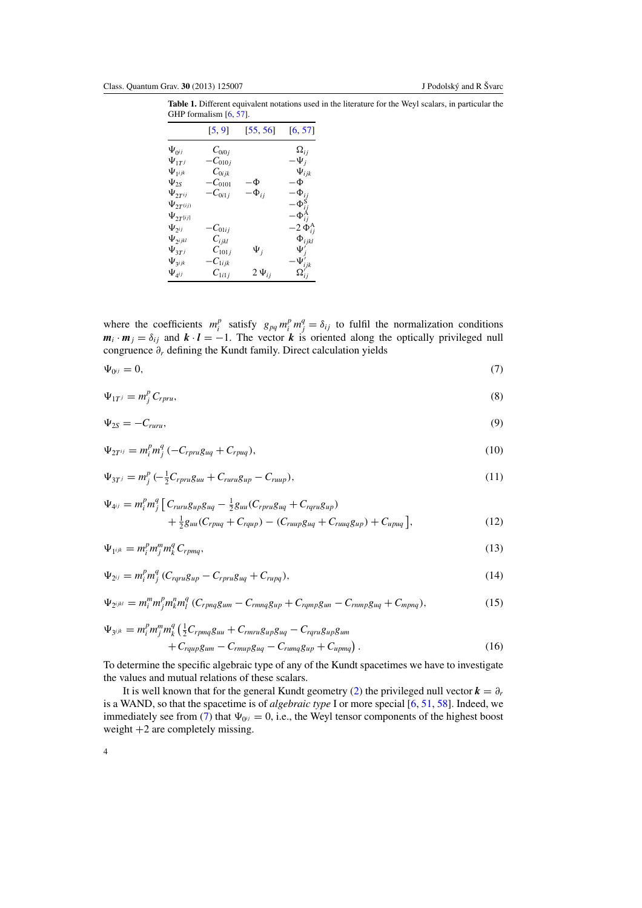<span id="page-4-0"></span>**Table 1.** Different equivalent notations used in the literature for the Weyl scalars, in particular the GHP formalism  $[6, 57]$  $[6, 57]$  $[6, 57]$  $[6, 57]$ .

|                    | [5, 9]               | [55, 56]     | [6, 57]            |
|--------------------|----------------------|--------------|--------------------|
| $\Psi_{0^{ij}}$    | $C_{0i0j}$           |              | $\Omega_{ij}$      |
| $\Psi_{1T}$        | $-C_{010j}$          |              | $-\Psi_j$          |
| $\Psi_{1^{ijk}}$   | $C_{0ijk}$           |              | $\Psi_{ijk}$       |
| $\Psi_{2S}$        | $-C_{0101}$          | –Ф           | $-\Phi$            |
| $\Psi_{2T^{ij}}$   | $-C_{0i1j}$          | $-\Phi_{ij}$ | $-\Phi_{ij}$       |
| $\Psi_{2T^{(ij)}}$ |                      |              | $-\Phi^{\rm S}$    |
| $\Psi_{2T^{[ij]}}$ |                      |              | $-\Phi_{ij}^{\nu}$ |
| $\Psi_{2^{ij}}$    | $-C_{01ij}$          |              | $-2 \Phi_{ij}^A$   |
| $\Psi_{2ijkl}$     | $\mathcal{C}_{ijkl}$ |              | $\Phi_{ijkl}$      |
| $\Psi_{3T^j}$      | $C_{101j}$           | $\Psi_j$     | $\Psi_i'$          |
| $\Psi_{3ijk}$      | $-C_{1ijk}$          |              | $\Psi'_{ijk}$      |
| $\Psi_{4ij}$       | $C_{1i1j}$           | $2\Psi_{ij}$ | $\Omega'_{ij}$     |

where the coefficients  $m_i^p$  satisfy  $g_{pq} m_i^p m_j^q = \delta_{ij}$  to fulfil the normalization conditions  $m_i \cdot m_j = \delta_{ij}$  and  $k \cdot l = -1$ . The vector *k* is oriented along the optically privileged null congruence ∂*<sup>r</sup>* defining the Kundt family. Direct calculation yields

$$
\Psi_{0^{ij}} = 0, \tag{7}
$$

$$
\Psi_{1T} = m_j^p C_{rpru},\tag{8}
$$

$$
\Psi_{2S} = -C_{ruru},\tag{9}
$$

$$
\Psi_{2T^{ij}} = m_i^p m_j^q \left( -C_{rpru} g_{uq} + C_{rpuq} \right),\tag{10}
$$

$$
\Psi_{3T} = m_j^p \left( -\frac{1}{2} C_{rpru} g_{uu} + C_{ruru} g_{up} - C_{ruup} \right),\tag{11}
$$

$$
\Psi_{4^{ij}} = m_i^p m_j^q \left[ C_{ruru} g_{up} g_{uq} - \frac{1}{2} g_{uu} (C_{rpru} g_{uq} + C_{rqu} g_{up}) \right. \\ \left. + \frac{1}{2} g_{uu} (C_{rpuq} + C_{rqup}) - (C_{ruup} g_{uq} + C_{ruuq} g_{up}) + C_{upuq} \right],
$$
\n(12)

$$
\Psi_{1^{ijk}} = m_i^p m_j^m m_k^q C_{rpmq},\tag{13}
$$

$$
\Psi_{2^{ij}} = m_i^p m_j^q (C_{rqru} g_{up} - C_{rpru} g_{uq} + C_{rupq}), \qquad (14)
$$

$$
\Psi_{2^{ijkl}} = m_i^m m_j^p m_k^m m_l^q (C_{rpnq}g_{um} - C_{rmnq}g_{up} + C_{rqmp}g_{un} - C_{rnmp}g_{uq} + C_{mpnq}),
$$
\n(15)

$$
\Psi_{3^{ijk}} = m_i^p m_j^m m_k^q \left( \frac{1}{2} C_{rpmq} g_{uu} + C_{rmru} g_{up} g_{uq} - C_{rqru} g_{up} g_{um} + C_{rqup} g_{um} - C_{rmurp} g_{uq} - C_{rumq} g_{up} + C_{upmq} \right).
$$
\n(16)

To determine the specific algebraic type of any of the Kundt spacetimes we have to investigate the values and mutual relations of these scalars.

It is well known that for the general Kundt geometry [\(2\)](#page-3-0) the privileged null vector  $\mathbf{k} = \partial_r$ is a WAND, so that the spacetime is of *algebraic type* I or more special [\[6,](#page-23-0) [51](#page-25-0), [58](#page-25-0)]. Indeed, we immediately see from (7) that  $\Psi_{0} = 0$ , i.e., the Weyl tensor components of the highest boost weight +2 are completely missing.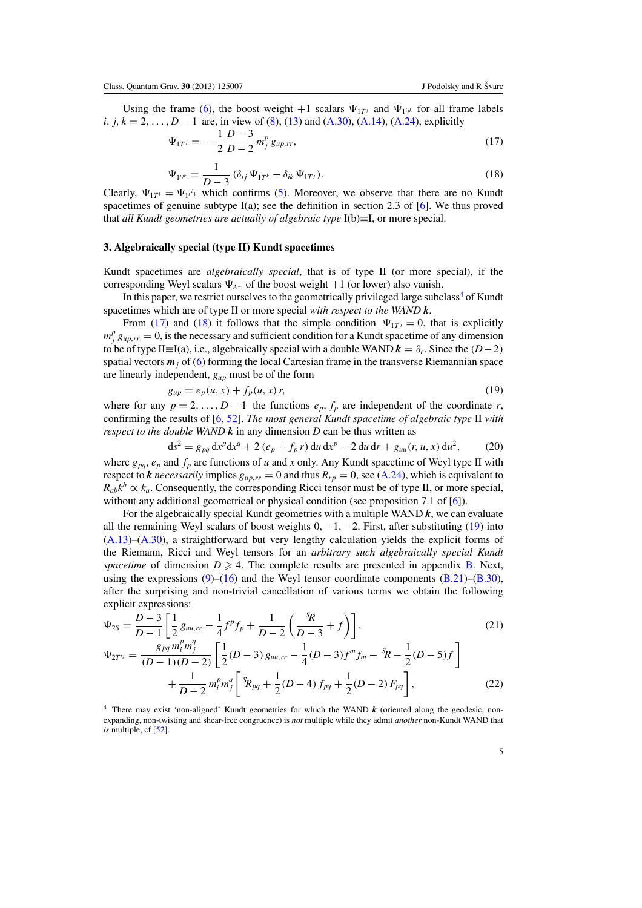<span id="page-5-0"></span>Using the frame [\(6\)](#page-3-0), the boost weight  $+1$  scalars  $\Psi_{1T}$  and  $\Psi_{1ijk}$  for all frame labels *i*, *j*,  $k = 2, ..., D - 1$  are, in view of [\(8\)](#page-4-0), [\(13\)](#page-4-0) and [\(A.30\)](#page-20-0), [\(A.14\)](#page-18-0), [\(A.24\)](#page-19-0), explicitly

$$
\Psi_{1T^j} = -\frac{1}{2} \frac{D-3}{D-2} m_j^p g_{up,rr}, \tag{17}
$$

$$
\Psi_{1^{ijk}} = \frac{1}{D-3} \left( \delta_{ij} \Psi_{1T^k} - \delta_{ik} \Psi_{1T^j} \right). \tag{18}
$$

Clearly,  $\Psi_{1T^k} = \Psi_{1^i}$  which confirms [\(5\)](#page-3-0). Moreover, we observe that there are no Kundt spacetimes of genuine subtype I(a); see the definition in section 2.3 of [\[6](#page-23-0)]. We thus proved that *all Kundt geometries are actually of algebraic type* I(b)≡I, or more special.

# **3. Algebraically special (type II) Kundt spacetimes**

Kundt spacetimes are *algebraically special*, that is of type II (or more special), if the corresponding Weyl scalars  $\Psi_{A}$ ... of the boost weight  $+1$  (or lower) also vanish.

In this paper, we restrict ourselves to the geometrically privileged large subclass<sup>4</sup> of Kundt spacetimes which are of type II or more special *with respect to the WAND k*.

From (17) and (18) it follows that the simple condition  $\Psi_{1T} = 0$ , that is explicitly  $m_j^p g_{up,rr} = 0$ , is the necessary and sufficient condition for a Kundt spacetime of any dimension to be of type II≡I(a), i.e., algebraically special with a double WAND  $k = \partial_r$ . Since the (*D*−2) spatial vectors *m<sup>j</sup>* of [\(6\)](#page-3-0) forming the local Cartesian frame in the transverse Riemannian space are linearly independent, *gup* must be of the form

$$
g_{up} = e_p(u, x) + f_p(u, x) r,
$$
\n(19)

where for any  $p = 2, ..., D - 1$  the functions  $e_p, f_p$  are independent of the coordinate *r*, confirming the results of [\[6](#page-23-0), [52](#page-25-0)]. *The most general Kundt spacetime of algebraic type* II *with respect to the double WAND*  $\boldsymbol{k}$  in any dimension *D* can be thus written as

$$
ds^{2} = g_{pq} dx^{p} dx^{q} + 2 (e_{p} + f_{p} r) du dx^{p} - 2 du dr + g_{uu}(r, u, x) du^{2},
$$
 (20)

where  $g_{pq}$ ,  $e_p$  and  $f_p$  are functions of *u* and *x* only. Any Kundt spacetime of Weyl type II with respect to *k* necessarily implies  $g_{up,rr} = 0$  and thus  $R_{rp} = 0$ , see [\(A.24\)](#page-19-0), which is equivalent to  $R_{ab}k^b \propto k_a$ . Consequently, the corresponding Ricci tensor must be of type II, or more special, without any additional geometrical or physical condition (see proposition 7.1 of [\[6](#page-23-0)]).

For the algebraically special Kundt geometries with a multiple WAND *k*, we can evaluate all the remaining Weyl scalars of boost weights  $0, -1, -2$ . First, after substituting (19) into [\(A.13\)](#page-18-0)–[\(A.30\)](#page-20-0), a straightforward but very lengthy calculation yields the explicit forms of the Riemann, Ricci and Weyl tensors for an *arbitrary such algebraically special Kundt* spacetime of dimension  $D \ge 4$ . The complete results are presented in appendix [B.](#page-20-0) Next, using the expressions  $(9)$ – $(16)$  and the Weyl tensor coordinate components  $(B.21)$ – $(B.30)$ , after the surprising and non-trivial cancellation of various terms we obtain the following explicit expressions:

$$
\Psi_{2S} = \frac{D-3}{D-1} \left[ \frac{1}{2} g_{uu,rr} - \frac{1}{4} f^p f_p + \frac{1}{D-2} \left( \frac{^S R}{D-3} + f \right) \right],\tag{21}
$$

$$
\Psi_{2T^{ij}} = \frac{g_{pq} m_i^p m_j^q}{(D-1)(D-2)} \left[ \frac{1}{2} (D-3) g_{uu,rr} - \frac{1}{4} (D-3) f^m f_m - {}^S \! R - \frac{1}{2} (D-5) f \right] + \frac{1}{D-2} m_i^p m_j^q \left[ {}^S \! R_{pq} + \frac{1}{2} (D-4) f_{pq} + \frac{1}{2} (D-2) F_{pq} \right],
$$
(22)

<sup>4</sup> There may exist 'non-aligned' Kundt geometries for which the WAND *k* (oriented along the geodesic, nonexpanding, non-twisting and shear-free congruence) is *not* multiple while they admit *another* non-Kundt WAND that *is* multiple, cf [\[52\]](#page-25-0).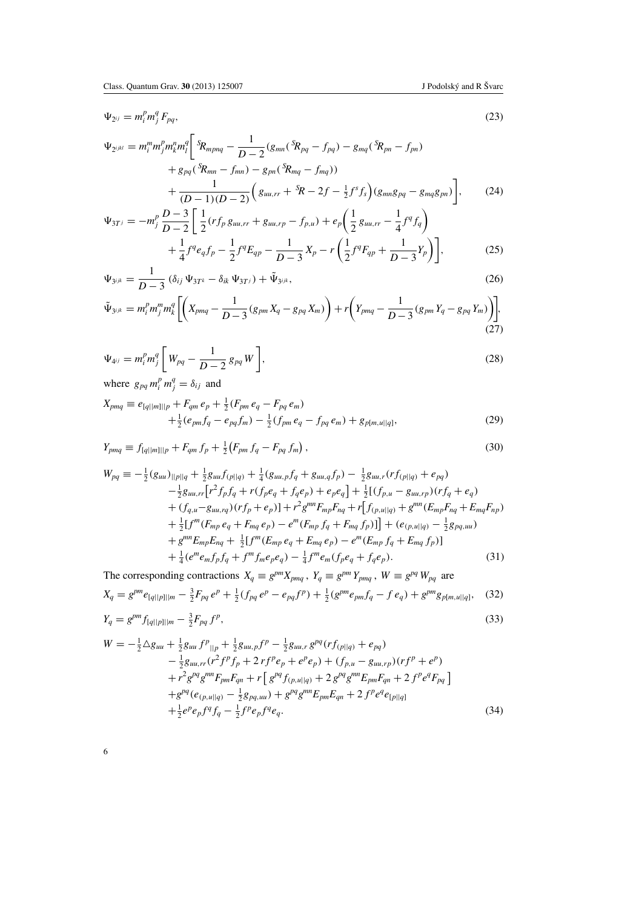<span id="page-6-0"></span>
$$
\Psi_{2^{ij}} = m_i^p m_j^q F_{pq},\tag{23}
$$

$$
\Psi_{2^{ijkl}} = m_i^m m_j^p m_k^n m_l^q \left[ \frac{s_{R_{mpnq}} - \frac{1}{D-2} (g_{mn} (s_{Rpq} - f_{pq}) - g_{mq} (s_{Rpn} - f_{pn}) \right. \\ \left. + g_{pq} (s_{Rmn} - f_{mn}) - g_{pn} (s_{Rmq} - f_{mq}) \right) \\ \left. + \frac{1}{(D-1)(D-2)} \left( g_{uu,rr} + s_R - 2f - \frac{1}{2} f^s f_s \right) (g_{mn} g_{pq} - g_{mq} g_{pn}) \right], \qquad (24)
$$
  

$$
\Psi_{3T^j} = -m_j^p \frac{D-3}{D-2} \left[ \frac{1}{2} (r f_p g_{uu,rr} + g_{uu,rp} - f_{p,u}) + e_p \left( \frac{1}{2} g_{uu,rr} - \frac{1}{4} f^q f_q \right) \right]
$$

$$
= -m_j^p \frac{D-3}{D-2} \left[ \frac{1}{2} (rf_p g_{uu,rr} + g_{uu,rp} - f_{p,u}) + e_p \left( \frac{1}{2} g_{uu,rr} - \frac{1}{4} f^q f_q \right) + \frac{1}{4} f^q e_q f_p - \frac{1}{2} f^q E_{qp} - \frac{1}{D-3} X_p - r \left( \frac{1}{2} f^q F_{qp} + \frac{1}{D-3} Y_p \right) \right],
$$
(25)

$$
\Psi_{3^{ijk}} = \frac{1}{D-3} \left( \delta_{ij} \, \Psi_{3T^k} - \delta_{ik} \, \Psi_{3T^j} \right) + \tilde{\Psi}_{3^{ijk}},\tag{26}
$$

$$
\tilde{\Psi}_{3^{ijk}} = m_i^p m_j^m m_k^q \left[ \left( X_{pmq} - \frac{1}{D-3} (g_{pm} X_q - g_{pq} X_m) \right) + r \left( Y_{pmq} - \frac{1}{D-3} (g_{pm} Y_q - g_{pq} Y_m) \right) \right],
$$
\n(27)

$$
\Psi_{4^{ij}} = m_i^p m_j^q \left[ W_{pq} - \frac{1}{D - 2} g_{pq} W \right],
$$
\n(28)

where  $g_{pq} m_i^p m_j^q = \delta_{ij}$  and

$$
X_{pmq} \equiv e_{[q||m]||p} + F_{qm} e_p + \frac{1}{2} (F_{pm} e_q - F_{pq} e_m)
$$
  
 
$$
+ \frac{1}{2} (e_{pm} f_q - e_{pq} f_m) - \frac{1}{2} (f_{pm} e_q - f_{pq} e_m) + g_{p[m,u||q]},
$$
 (29)

$$
Y_{pmq} \equiv f_{[q||m]||p} + F_{qm} f_p + \frac{1}{2} (F_{pm} f_q - F_{pq} f_m), \qquad (30)
$$

$$
W_{pq} \equiv -\frac{1}{2}(g_{uu})_{||p||q} + \frac{1}{2}g_{uu}f_{(p||q)} + \frac{1}{4}(g_{uu,p}f_q + g_{uu,q}f_p) - \frac{1}{2}g_{uu,r}(rf_{(p||q)} + e_{pq})
$$
  
\n
$$
-\frac{1}{2}g_{uu,rr}[r^2f_pf_q + r(f_pe_q + f_qe_p) + e_pe_q] + \frac{1}{2}[(f_{p,u} - g_{uu,rp})(rf_q + e_q) + (f_{q,u} - g_{uu,rq})(rf_p + e_p)] + r^2g^{mn}F_{mp}F_{nq} + r[f_{(p,u||q)} + g^{mn}(E_{mp}F_{nq} + E_{mq}F_{np})
$$
  
\n
$$
+\frac{1}{2}[f^m(F_{mp}e_q + F_{mq}e_p) - e^m(F_{mp}f_q + F_{mq}f_p)]] + (e_{(p,u||q)} - \frac{1}{2}g_{pq,uu})
$$
  
\n
$$
+g^{mn}E_{mp}E_{nq} + \frac{1}{2}[f^m(E_{mp}e_q + E_{mq}e_p) - e^m(E_{mp}f_q + E_{mq}f_p)]
$$
  
\n
$$
+\frac{1}{4}(e^me_{m}f_pf_q + f^mf_me_pe_q) - \frac{1}{4}f^me_{m}(f_pe_q + f_qe_p).
$$
  
\n(31)

The corresponding contractions  $X_q \equiv g^{pm} X_{pmq}$ ,  $Y_q \equiv g^{pm} Y_{pmq}$ ,  $W \equiv g^{pq} W_{pq}$  are

$$
X_q = g^{pm} e_{[q||p]||m} - \frac{3}{2} F_{pq} e^p + \frac{1}{2} (f_{pq} e^p - e_{pq} f^p) + \frac{1}{2} (g^{pm} e_{pm} f_q - f e_q) + g^{pm} g_{p[m,u||q]}, \quad (32)
$$

$$
Y_q = g^{pm} f_{[q||p]||m} - \frac{3}{2} F_{pq} f^p,
$$
\n(33)

$$
W = -\frac{1}{2}\Delta g_{uu} + \frac{1}{2}g_{uu}f^{p}_{||p} + \frac{1}{2}g_{uu,p}f^{p} - \frac{1}{2}g_{uu,r}g^{pq}(rf_{(p||q)} + e_{pq})
$$
  
\n
$$
- \frac{1}{2}g_{uu,rr}(r^{2}f^{p}f_{p} + 2rf^{p}e_{p} + e^{p}e_{p}) + (f_{p,u} - g_{uu,rp})(rf^{p} + e^{p})
$$
  
\n
$$
+ r^{2}g^{pq}g^{mn}F_{pm}F_{qn} + r[g^{pq}f_{(p,u||q)} + 2g^{pq}g^{mn}E_{pm}F_{qn} + 2f^{p}e^{q}F_{pq}]
$$
  
\n
$$
+ g^{pq}(e_{(p,u||q)} - \frac{1}{2}g_{pq,uu}) + g^{pq}g^{mn}E_{pm}F_{qn} + 2f^{p}e^{q}e_{[p||q]}
$$
  
\n
$$
+ \frac{1}{2}e^{p}e_{p}f^{q}f_{q} - \frac{1}{2}f^{p}e_{p}f^{q}e_{q}.
$$
\n(34)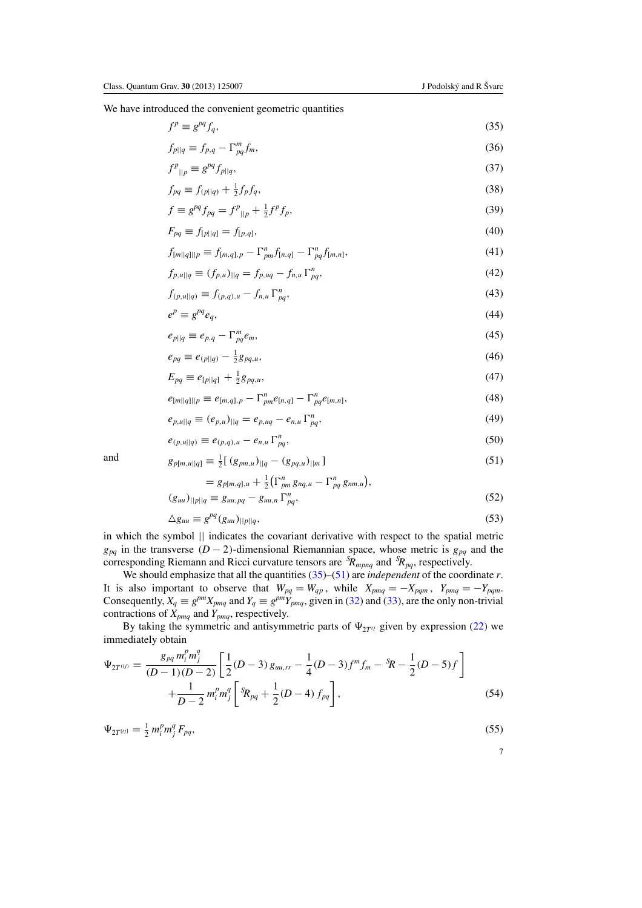$\overline{p}$   $\overline{p}$ 

<span id="page-7-0"></span>We have introduced the convenient geometric quantities

$$
f^p \equiv g^{pq} f_q,\tag{35}
$$

$$
f_{p||q} \equiv f_{p,q} - \Gamma_{pq}^m f_m,\tag{36}
$$

$$
f^{p}_{\parallel p} \equiv g^{pq} f_{p\parallel q},\tag{37}
$$

$$
f_{pq} \equiv f_{(p||q)} + \frac{1}{2} f_p f_q,
$$
\n(38)

$$
f \equiv g^{pq} f_{pq} = f^p_{\ |p} + \frac{1}{2} f^p f_p,\tag{39}
$$

$$
F_{pq} \equiv f_{[p||q]} = f_{[p,q]},\tag{40}
$$

$$
f_{[m||q]||p} \equiv f_{[m,q],p} - \Gamma_{pm}^n f_{[n,q]} - \Gamma_{pq}^n f_{[m,n]},
$$
\n(41)

$$
f_{p,u||q} \equiv (f_{p,u})_{||q} = f_{p,uq} - f_{n,u} \Gamma_{pq}^n, \tag{42}
$$

$$
f_{(p,u||q)} \equiv f_{(p,q),u} - f_{n,u} \Gamma_{pq}^n, \tag{43}
$$

$$
e^p \equiv g^{pq} e_q,\tag{44}
$$

$$
e_{p||q} \equiv e_{p,q} - \Gamma_{pq}^m e_m,\tag{45}
$$

$$
e_{pq} \equiv e_{(p||q)} - \frac{1}{2}g_{pq,u},\tag{46}
$$

$$
E_{pq} \equiv e_{[p||q]} + \frac{1}{2}g_{pq,u},\tag{47}
$$

$$
e_{[m||q]||p} \equiv e_{[m,q],p} - \Gamma_{pm}^{n} e_{[n,q]} - \Gamma_{pq}^{n} e_{[m,n]},
$$
\n(48)

$$
e_{p,u||q} \equiv (e_{p,u})_{||q} = e_{p,uq} - e_{n,u} \Gamma_{pq}^n, \tag{49}
$$

$$
e_{(p,u||q)} \equiv e_{(p,q),u} - e_{n,u} \Gamma_{pq}^n, \tag{50}
$$

and 
$$
g_{p[m,u||q]} \equiv \frac{1}{2} [(g_{pm,u})_{||q} - (g_{pq,u})_{||m}]
$$
 (51)

$$
= g_{p[m,q],u} + \frac{1}{2} \left( \Gamma_{pm}^{n} g_{nq,u} - \Gamma_{pq}^{n} g_{nm,u} \right),
$$

$$
(g_{uu})_{||p||q} \equiv g_{uu,pq} - g_{uu,n} \Gamma_{pq}^n,\tag{52}
$$

$$
\Delta g_{uu} \equiv g^{pq} (g_{uu})_{||p||q},\tag{53}
$$

in which the symbol || indicates the covariant derivative with respect to the spatial metric  $g_{pq}$  in the transverse (*D* − 2)-dimensional Riemannian space, whose metric is  $g_{pq}$  and the corresponding Riemann and Ricci curvature tensors are *<sup>S</sup> Rmpnq* and *<sup>S</sup> Rpq*, respectively.

We should emphasize that all the quantities (35)–(51) are *independent* of the coordinate *r*. It is also important to observe that  $W_{pq} = W_{qp}$ , while  $X_{pmq} = -X_{pqm}$ ,  $Y_{pmq} = -Y_{pqm}$ . Consequently,  $X_q \equiv g^{pm} X_{pmq}$  and  $Y_q \equiv g^{pm} Y_{pmq}$ , given in [\(32\)](#page-6-0) and [\(33\)](#page-6-0), are the only non-trivial contractions of *Xpmq* and *Ypmq*, respectively.

By taking the symmetric and antisymmetric parts of  $\Psi_{2T^{ij}}$  given by expression [\(22\)](#page-5-0) we immediately obtain

$$
\Psi_{2T^{(ij)}} = \frac{g_{pq} m_i^p m_j^q}{(D-1)(D-2)} \left[ \frac{1}{2} (D-3) g_{uu,rr} - \frac{1}{4} (D-3) f^m f_m - {}^S \! R - \frac{1}{2} (D-5) f \right] \n+ \frac{1}{D-2} m_i^p m_j^q \left[ {}^S \! R_{pq} + \frac{1}{2} (D-4) f_{pq} \right],
$$
\n(54)

$$
\Psi_{2T^{[ij]}} = \frac{1}{2} m_i^p m_j^q F_{pq},\tag{55}
$$

$$
\phantom{0}7
$$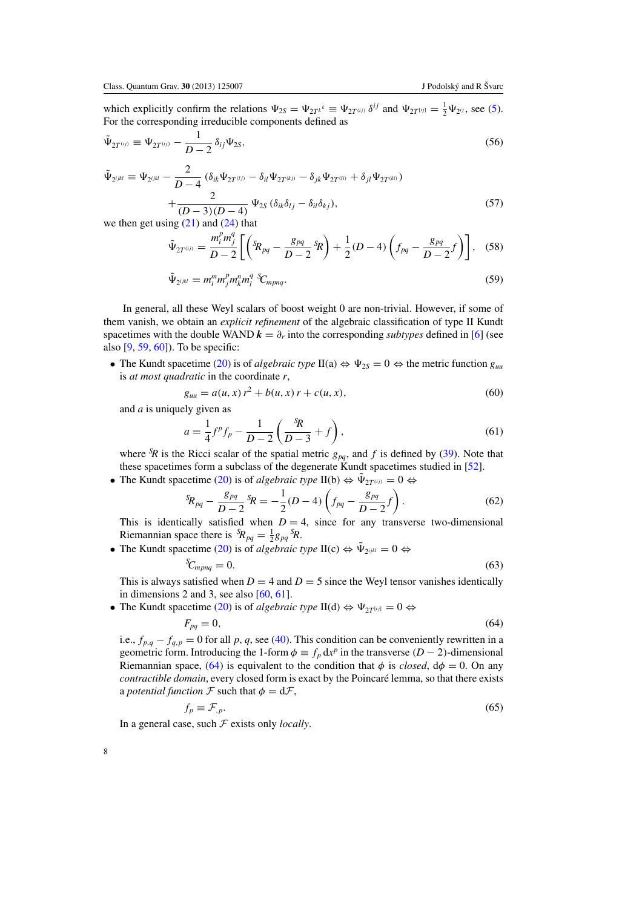<span id="page-8-0"></span>which explicitly confirm the relations  $\Psi_{2S} = \Psi_{2T^{k}} = \Psi_{2T^{(i)j}} \delta^{ij}$  and  $\Psi_{2T^{[ij]}} = \frac{1}{2} \Psi_{2^{ij}}$ , see [\(5\)](#page-3-0). For the corresponding irreducible components defined as

$$
\tilde{\Psi}_{2T^{(ij)}} \equiv \Psi_{2T^{(ij)}} - \frac{1}{D-2} \,\delta_{ij} \Psi_{2S},\tag{56}
$$

$$
\tilde{\Psi}_{2^{ijkl}} = \Psi_{2^{ijkl}} - \frac{2}{D-4} \left( \delta_{ik} \Psi_{2T^{(l)}} - \delta_{il} \Psi_{2T^{(k)}} - \delta_{jk} \Psi_{2T^{(li)}} + \delta_{jl} \Psi_{2T^{(ki)}} \right) + \frac{2}{(D-3)(D-4)} \Psi_{2S} \left( \delta_{ik} \delta_{lj} - \delta_{il} \delta_{kj} \right),
$$
\n(57)

we then get using  $(21)$  and  $(24)$  that

$$
\tilde{\Psi}_{2T^{(ij)}} = \frac{m_i^p m_j^q}{D-2} \left[ \left( {}^{5}R_{pq} - \frac{g_{pq}}{D-2} {}^{5}R \right) + \frac{1}{2} (D-4) \left( f_{pq} - \frac{g_{pq}}{D-2} f \right) \right], \quad (58)
$$

$$
\tilde{\Psi}_{2^{ijkl}} = m_i^m m_j^p m_k^m n_l^q \, {}^S\!C_{mpnq}.\tag{59}
$$

In general, all these Weyl scalars of boost weight 0 are non-trivial. However, if some of them vanish, we obtain an *explicit refinement* of the algebraic classification of type II Kundt spacetimes with the double WAND  $\mathbf{k} = \partial_r$  into the corresponding *subtypes* defined in [\[6\]](#page-23-0) (see also [\[9,](#page-23-0) [59,](#page-25-0) [60\]](#page-25-0)). To be specific:

• The Kundt spacetime [\(20\)](#page-5-0) is of *algebraic type* II(a)  $\Leftrightarrow \Psi_{2S} = 0 \Leftrightarrow$  the metric function  $g_{uu}$ is *at most quadratic* in the coordinate *r*,

$$
g_{uu} = a(u, x) r^2 + b(u, x) r + c(u, x),
$$
\n(60)

and *a* is uniquely given as

$$
a = \frac{1}{4}f^{p}f_{p} - \frac{1}{D-2}\left(\frac{s_{R}}{D-3} + f\right),
$$
\n(61)

where  ${}^{5}R$  is the Ricci scalar of the spatial metric  $g_{pq}$ , and f is defined by [\(39\)](#page-7-0). Note that these spacetimes form a subclass of the degenerate Kundt spacetimes studied in [\[52\]](#page-25-0).

• The Kundt spacetime [\(20\)](#page-5-0) is of *algebraic type* II(b)  $\Leftrightarrow \Psi_{2T^{(ij)}} = 0 \Leftrightarrow$ 

$$
{}^{S}R_{pq} - \frac{g_{pq}}{D-2} {}^{S}R = -\frac{1}{2}(D-4)\left(f_{pq} - \frac{g_{pq}}{D-2}f\right). \tag{62}
$$

This is identically satisfied when  $D = 4$ , since for any transverse two-dimensional Riemannian space there is  ${}^{S}R_{pq} = \frac{1}{2}g_{pq} {}^{S}R$ .

• The Kundt spacetime [\(20\)](#page-5-0) is of *algebraic type*  $II(c) \Leftrightarrow \tilde{\Psi}_{2^{ijkl}} = 0 \Leftrightarrow$ 

$$
C_{mpnq} = 0. \tag{63}
$$

This is always satisfied when  $D = 4$  and  $D = 5$  since the Weyl tensor vanishes identically in dimensions 2 and 3, see also [\[60](#page-25-0), [61](#page-25-0)].

• The Kundt spacetime [\(20\)](#page-5-0) is of *algebraic type* II(d)  $\Leftrightarrow \Psi_{2T[ij]} = 0 \Leftrightarrow$ 

$$
F_{pq} = 0,\t\t(64)
$$

i.e.,  $f_{p,q} - f_{q,p} = 0$  for all p, q, see [\(40\)](#page-7-0). This condition can be conveniently rewritten in a geometric form. Introducing the 1-form  $\phi \equiv f_p \, dx^p$  in the transverse (*D* − 2)-dimensional Riemannian space, (64) is equivalent to the condition that  $\phi$  is *closed*,  $d\phi = 0$ . On any *contractible domain*, every closed form is exact by the Poincaré lemma, so that there exists a *potential function*  $\mathcal F$  such that  $\phi = d\mathcal F$ ,

$$
f_p \equiv \mathcal{F}_{p}.\tag{65}
$$

In a general case, such F exists only *locally*.

*S*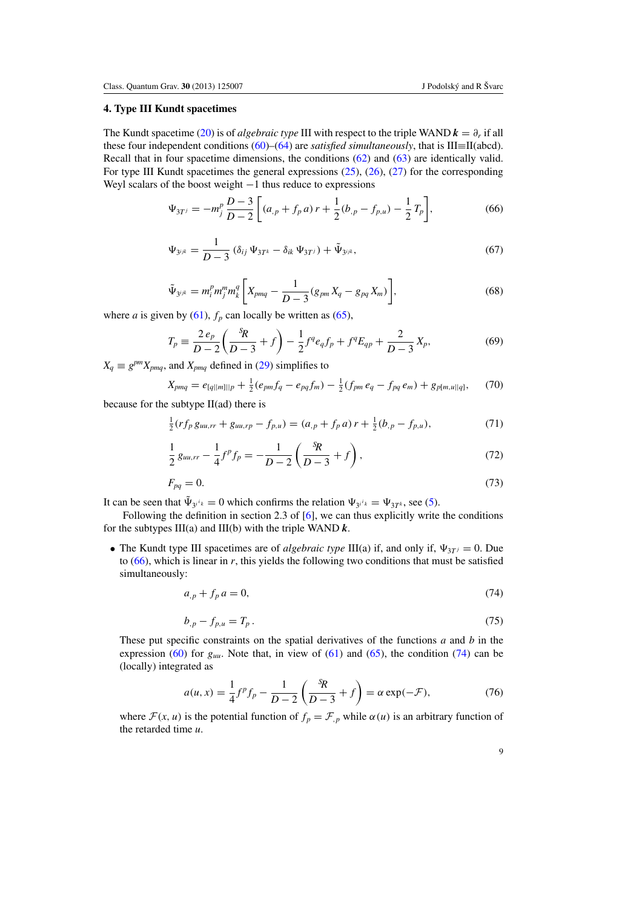# <span id="page-9-0"></span>**4. Type III Kundt spacetimes**

The Kundt spacetime [\(20\)](#page-5-0) is of *algebraic type* III with respect to the triple WAND  $\mathbf{k} = \partial_r$  if all these four independent conditions [\(60\)](#page-8-0)–[\(64\)](#page-8-0) are *satisfied simultaneously*, that is III≡II(abcd). Recall that in four spacetime dimensions, the conditions [\(62\)](#page-8-0) and [\(63\)](#page-8-0) are identically valid. For type III Kundt spacetimes the general expressions  $(25)$ ,  $(26)$ ,  $(27)$  for the corresponding Weyl scalars of the boost weight  $-1$  thus reduce to expressions

$$
\Psi_{3T'} = -m_j^p \frac{D-3}{D-2} \left[ (a_{,p} + f_p a) r + \frac{1}{2} (b_{,p} - f_{p,u}) - \frac{1}{2} T_p \right],
$$
\n(66)

$$
\Psi_{3^{ijk}} = \frac{1}{D-3} \left( \delta_{ij} \, \Psi_{3T^k} - \delta_{ik} \, \Psi_{3T^j} \right) + \tilde{\Psi}_{3^{ijk}},\tag{67}
$$

$$
\tilde{\Psi}_{3^{ijk}} = m_i^p m_j^m m_k^q \left[ X_{pmq} - \frac{1}{D-3} (g_{pm} X_q - g_{pq} X_m) \right],
$$
\n(68)

where *a* is given by [\(61\)](#page-8-0),  $f_p$  can locally be written as [\(65\)](#page-8-0),

$$
T_p \equiv \frac{2 e_p}{D - 2} \left( \frac{{}^S \! R}{D - 3} + f \right) - \frac{1}{2} f^q e_q f_p + f^q E_{qp} + \frac{2}{D - 3} X_p,\tag{69}
$$

 $X_q \equiv g^{pm} X_{pmq}$ , and  $X_{pmq}$  defined in [\(29\)](#page-6-0) simplifies to

$$
X_{pmq} = e_{[q||m]||p} + \frac{1}{2}(e_{pm}f_q - e_{pq}f_m) - \frac{1}{2}(f_{pm}e_q - f_{pq}e_m) + g_{p[m,u||q]},\tag{70}
$$

because for the subtype  $II(ad)$  there is

$$
\frac{1}{2}(rf_p g_{uu,rr} + g_{uu,rp} - f_{p,u}) = (a_{,p} + f_p a)r + \frac{1}{2}(b_{,p} - f_{p,u}),
$$
\n(71)

$$
\frac{1}{2}g_{uu,rr} - \frac{1}{4}f^p f_p = -\frac{1}{D-2}\left(\frac{sR}{D-3} + f\right),\tag{72}
$$

$$
F_{pq} = 0.\t\t(73)
$$

It can be seen that  $\tilde{\Psi}_{3^{i}k} = 0$  which confirms the relation  $\Psi_{3^{i}k} = \Psi_{3T^k}$ , see [\(5\)](#page-3-0).

Following the definition in section 2.3 of [\[6](#page-23-0)], we can thus explicitly write the conditions for the subtypes III(a) and III(b) with the triple WAND *k*.

• The Kundt type III spacetimes are of *algebraic type* III(a) if, and only if,  $\Psi_{3T} = 0$ . Due to  $(66)$ , which is linear in *r*, this yields the following two conditions that must be satisfied simultaneously:

$$
a_{,p} + f_p a = 0,\tag{74}
$$

$$
b_{,p} - f_{p,u} = T_p. \t\t(75)
$$

These put specific constraints on the spatial derivatives of the functions *a* and *b* in the expression [\(60\)](#page-8-0) for  $g_{uu}$ . Note that, in view of [\(61\)](#page-8-0) and [\(65\)](#page-8-0), the condition (74) can be (locally) integrated as

$$
a(u, x) = \frac{1}{4}f^{p}f_{p} - \frac{1}{D - 2}\left(\frac{sR}{D - 3} + f\right) = \alpha \exp(-\mathcal{F}),
$$
 (76)

where  $\mathcal{F}(x, u)$  is the potential function of  $f_p = \mathcal{F}_{p}$  while  $\alpha(u)$  is an arbitrary function of the retarded time *u*.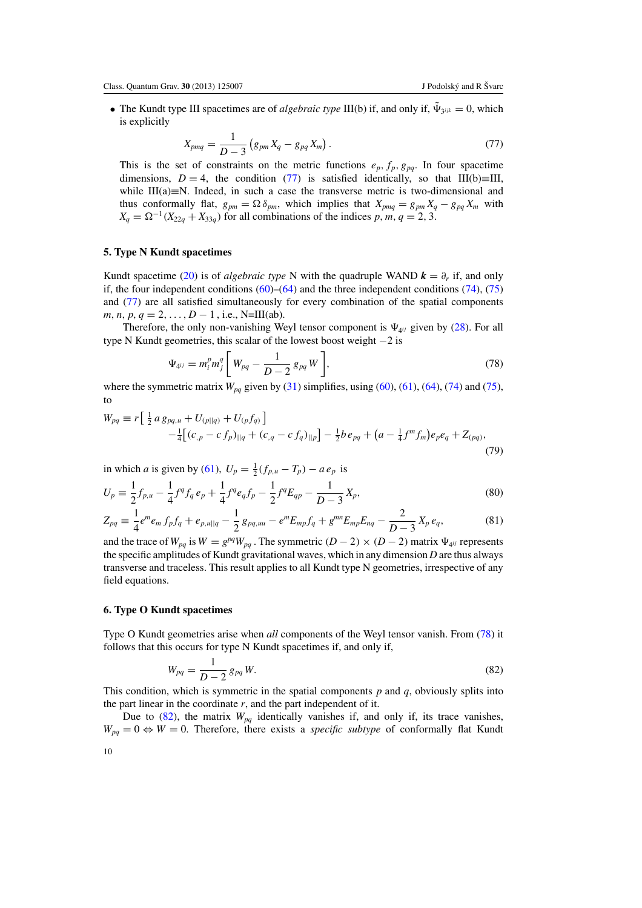<span id="page-10-0"></span>• The Kundt type III spacetimes are of *algebraic type* III(b) if, and only if,  $\tilde{\Psi}_{\gamma i k} = 0$ , which is explicitly

$$
X_{pmq} = \frac{1}{D-3} \left( g_{pm} X_q - g_{pq} X_m \right). \tag{77}
$$

This is the set of constraints on the metric functions  $e_p$ ,  $f_p$ ,  $g_{pq}$ . In four spacetime dimensions, *D* = 4, the condition (77) is satisfied identically, so that III(b)≡III, while III(a)≡N. Indeed, in such a case the transverse metric is two-dimensional and thus conformally flat,  $g_{pm} = \Omega \delta_{pm}$ , which implies that  $X_{pmq} = g_{pm} X_q - g_{pq} X_m$  with  $X_q = \Omega^{-1}(X_{22q} + X_{33q})$  for all combinations of the indices *p*, *m*, *q* = 2, 3.

### **5. Type N Kundt spacetimes**

Kundt spacetime [\(20\)](#page-5-0) is of *algebraic type* N with the quadruple WAND  $\mathbf{k} = \partial_r$  if, and only if, the four independent conditions  $(60)$ – $(64)$  and the three independent conditions  $(74)$ ,  $(75)$ and (77) are all satisfied simultaneously for every combination of the spatial components *m*, *n*, *p*, *q* = 2, ..., *D* − 1, i.e., N=III(ab).

Therefore, the only non-vanishing Weyl tensor component is  $\Psi_{4ij}$  given by [\(28\)](#page-6-0). For all type N Kundt geometries, this scalar of the lowest boost weight −2 is

$$
\Psi_{4^{ij}} = m_i^p m_j^q \left[ W_{pq} - \frac{1}{D-2} g_{pq} W \right],
$$
\n(78)

where the symmetric matrix  $W_{pq}$  given by [\(31\)](#page-6-0) simplifies, using [\(60\)](#page-8-0), [\(61\)](#page-8-0), [\(64\)](#page-8-0), [\(74\)](#page-9-0) and [\(75\)](#page-9-0), to

$$
W_{pq} \equiv r \left[ \frac{1}{2} a g_{pq,u} + U_{(p||q)} + U_{(p} f_{q)} \right] - \frac{1}{4} \left[ (c_{,p} - c f_{p})_{||q} + (c_{,q} - c f_{q})_{||p} \right] - \frac{1}{2} b e_{pq} + (a - \frac{1}{4} f^{m} f_{m}) e_{p} e_{q} + Z_{(pq)},
$$
(79)

in which *a* is given by [\(61\)](#page-8-0),  $U_p = \frac{1}{2}(f_{p,u} - T_p) - a e_p$  is

$$
U_p \equiv \frac{1}{2} f_{p,u} - \frac{1}{4} f^q f_q \, e_p + \frac{1}{4} f^q e_q f_p - \frac{1}{2} f^q E_{qp} - \frac{1}{D-3} X_p,\tag{80}
$$

$$
Z_{pq} \equiv \frac{1}{4} e^m e_m f_p f_q + e_{p,u||q} - \frac{1}{2} g_{pq,uu} - e^m E_{mp} f_q + g^{mn} E_{mp} E_{nq} - \frac{2}{D-3} X_p e_q, \tag{81}
$$

and the trace of  $W_{pq}$  is  $W = g^{pq}W_{pq}$ . The symmetric  $(D-2) \times (D-2)$  matrix  $\Psi_{4^{ij}}$  represents the specific amplitudes of Kundt gravitational waves, which in any dimension *D* are thus always transverse and traceless. This result applies to all Kundt type N geometries, irrespective of any field equations.

#### **6. Type O Kundt spacetimes**

Type O Kundt geometries arise when *all* components of the Weyl tensor vanish. From (78) it follows that this occurs for type N Kundt spacetimes if, and only if,

$$
W_{pq} = \frac{1}{D-2} g_{pq} W.
$$
\n(82)

This condition, which is symmetric in the spatial components  $p$  and  $q$ , obviously splits into the part linear in the coordinate  $r$ , and the part independent of it.

Due to  $(82)$ , the matrix  $W_{pq}$  identically vanishes if, and only if, its trace vanishes,  $W_{pq} = 0 \Leftrightarrow W = 0$ . Therefore, there exists a *specific subtype* of conformally flat Kundt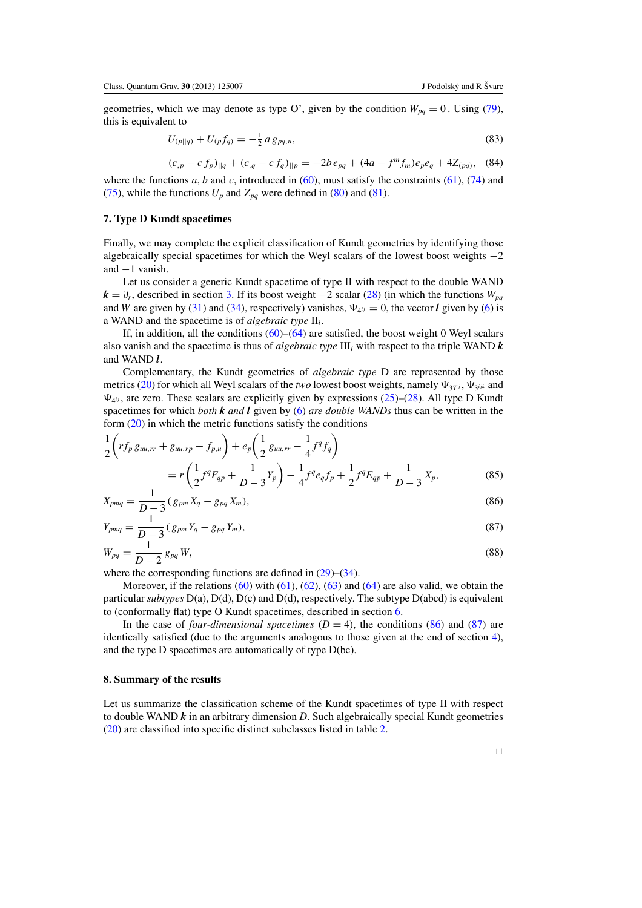<span id="page-11-0"></span>geometries, which we may denote as type O', given by the condition  $W_{pq} = 0$ . Using [\(79\)](#page-10-0), this is equivalent to

$$
U_{(p||q)} + U_{(p}f_{q)} = -\frac{1}{2} a g_{pq,u}, \tag{83}
$$

$$
(c_{,p} - c f_p)_{||q} + (c_{,q} - c f_q)_{||p} = -2b e_{pq} + (4a - f^m f_m) e_p e_q + 4Z_{(pq)},
$$
 (84)

where the functions  $a$ ,  $b$  and  $c$ , introduced in [\(60\)](#page-8-0), must satisfy the constraints [\(61\)](#page-8-0), [\(74\)](#page-9-0) and [\(75\)](#page-9-0), while the functions  $U_p$  and  $Z_{pq}$  were defined in [\(80\)](#page-10-0) and [\(81\)](#page-10-0).

# **7. Type D Kundt spacetimes**

Finally, we may complete the explicit classification of Kundt geometries by identifying those algebraically special spacetimes for which the Weyl scalars of the lowest boost weights −2 and −1 vanish.

Let us consider a generic Kundt spacetime of type II with respect to the double WAND  $k = \partial_r$ , described in section [3.](#page-5-0) If its boost weight  $-2$  scalar [\(28\)](#page-6-0) (in which the functions  $W_{pq}$ and *W* are given by [\(31\)](#page-6-0) and [\(34\)](#page-6-0), respectively) vanishes,  $\Psi_{4ij} = 0$ , the vector *l* given by [\(6\)](#page-3-0) is a WAND and the spacetime is of *algebraic type* II*i*.

If, in addition, all the conditions  $(60)$ – $(64)$  are satisfied, the boost weight 0 Weyl scalars also vanish and the spacetime is thus of *algebraic type* III*<sup>i</sup>* with respect to the triple WAND *k* and WAND *l*.

Complementary, the Kundt geometries of *algebraic type* D are represented by those metrics [\(20\)](#page-5-0) for which all Weyl scalars of the *two* lowest boost weights, namely  $\Psi_{3T}$ *i*,  $\Psi_{3jjk}$  and  $\Psi_{4ij}$ , are zero. These scalars are explicitly given by expressions [\(25\)](#page-6-0)–[\(28\)](#page-6-0). All type D Kundt spacetimes for which *both k and l* given by [\(6\)](#page-3-0) *are double WANDs* thus can be written in the form [\(20\)](#page-5-0) in which the metric functions satisfy the conditions

$$
\frac{1}{2}\left(r f_p g_{uu,rr} + g_{uu,rp} - f_{p,u}\right) + e_p \left(\frac{1}{2} g_{uu,rr} - \frac{1}{4} f^q f_q\right)
$$
\n
$$
= r \left(\frac{1}{2} f^q F_{qp} + \frac{1}{D-3} Y_p\right) - \frac{1}{4} f^q e_q f_p + \frac{1}{2} f^q E_{qp} + \frac{1}{D-3} X_p,
$$
\n(85)

$$
X_{pmq} = \frac{1}{D-3} (g_{pm} X_q - g_{pq} X_m),
$$
\n(86)

$$
Y_{pmq} = \frac{1}{D-3} (g_{pm} Y_q - g_{pq} Y_m),
$$
\n(87)

$$
W_{pq} = \frac{1}{D-2} g_{pq} W,
$$
\n(88)

where the corresponding functions are defined in  $(29)$ – $(34)$ .

Moreover, if the relations  $(60)$  with  $(61)$ ,  $(62)$ ,  $(63)$  and  $(64)$  are also valid, we obtain the particular *subtypes* D(a), D(d), D(c) and D(d), respectively. The subtype D(abcd) is equivalent to (conformally flat) type O Kundt spacetimes, described in section [6.](#page-10-0)

In the case of *four-dimensional spacetimes*  $(D = 4)$ , the conditions  $(86)$  and  $(87)$  are identically satisfied (due to the arguments analogous to those given at the end of section [4\)](#page-9-0), and the type D spacetimes are automatically of type D(bc).

### **8. Summary of the results**

Let us summarize the classification scheme of the Kundt spacetimes of type II with respect to double WAND *k* in an arbitrary dimension *D*. Such algebraically special Kundt geometries [\(20\)](#page-5-0) are classified into specific distinct subclasses listed in table [2.](#page-12-0)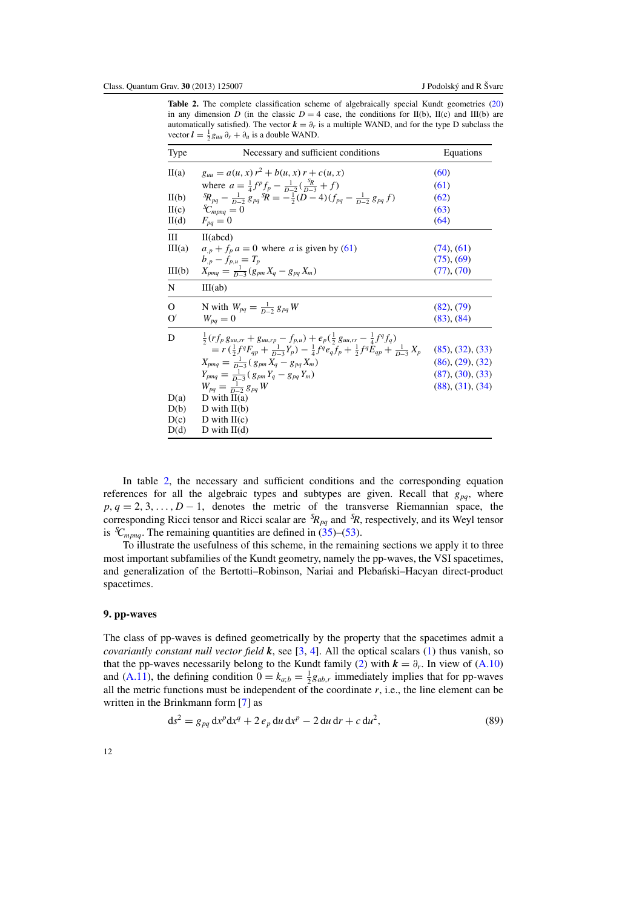<span id="page-12-0"></span>Table 2. The complete classification scheme of algebraically special Kundt geometries [\(20\)](#page-5-0) in any dimension *D* (in the classic  $D = 4$  case, the conditions for II(b), II(c) and III(b) are automatically satisfied). The vector  $k = \partial_r$  is a multiple WAND, and for the type D subclass the vector  $\mathbf{l} = \frac{1}{2} g_{uu} \partial_r + \partial_u$  is a double WAND.

| <b>Type</b> | Necessary and sufficient conditions                                                                             | Equations        |
|-------------|-----------------------------------------------------------------------------------------------------------------|------------------|
| II(a)       | $g_{uu} = a(u, x) r^2 + b(u, x) r + c(u, x)$                                                                    | (60)             |
|             | where $a = \frac{1}{4}f^p f_p - \frac{1}{p-2}(\frac{s_R}{p-3} + f)$                                             | (61)             |
| II(b)       | ${}^{S}\!R_{pq} - \frac{1}{p-2} g_{pq} {}^{S}\!R = -\frac{1}{2}(D-4)(f_{pq} - \frac{1}{p-2} g_{pq} f)$          | (62)             |
| H(c)        | ${}^3C_{mma}=0$                                                                                                 | (63)             |
| II(d)       | $F_{pa}=0$                                                                                                      | (64)             |
| Ш           | II(abcd)                                                                                                        |                  |
| III(a)      | $a_{p} + f_{p} a = 0$ where a is given by (61)                                                                  | $(74)$ , $(61)$  |
|             | $b_{p} - f_{p,u} = T_p$                                                                                         | $(75)$ , $(69)$  |
| III(b)      | $X_{\text{pmq}} = \frac{1}{D-3}(g_{\text{pmq}}X_q - g_{\text{pq}}X_m)$                                          | $(77)$ , $(70)$  |
| N           | III(ab)                                                                                                         |                  |
| $\Omega$    | N with $W_{pq} = \frac{1}{D-2} g_{pq} W$                                                                        | (82), (79)       |
| $\Omega'$   | $W_{na}=0$                                                                                                      | (83), (84)       |
| D           | $\frac{1}{2}(rf_p g_{uu,rr} + g_{uu,rp} - f_{p,u}) + e_p(\frac{1}{2} g_{uu,rr} - \frac{1}{4} f^q f_q)$          |                  |
|             | $= r(\frac{1}{2}f^qF_{qp} + \frac{1}{D-3}Y_p) - \frac{1}{4}f^qe_qf_p + \frac{1}{2}f^qE_{qp} + \frac{1}{D-3}X_p$ | (85), (32), (33) |
|             | $X_{pmq} = \frac{1}{D-3} (g_{pm} X_q - g_{pq} X_m)$                                                             | (86), (29), (32) |
|             | $Y_{bmq} = \frac{1}{D-3} (g_{pm} Y_q - g_{pq} Y_m)$                                                             | (87), (30), (33) |
|             | $W_{pa} = \frac{1}{D-2} g_{pa} W$                                                                               | (88), (31), (34) |
| D(a)        | D with $II(a)$                                                                                                  |                  |
| D(b)        | D with $II(b)$                                                                                                  |                  |
| D(c)        | D with $II(c)$                                                                                                  |                  |
| D(d)        | D with $II(d)$                                                                                                  |                  |

In table 2, the necessary and sufficient conditions and the corresponding equation references for all the algebraic types and subtypes are given. Recall that  $g_{pq}$ , where  $p, q = 2, 3, \ldots, D - 1$ , denotes the metric of the transverse Riemannian space, the corresponding Ricci tensor and Ricci scalar are *<sup>S</sup> Rpq* and *<sup>S</sup> R*, respectively, and its Weyl tensor is  ${}^S\!C_{mpnq}$ . The remaining quantities are defined in [\(35\)](#page-7-0)–[\(53\)](#page-7-0).

To illustrate the usefulness of this scheme, in the remaining sections we apply it to three most important subfamilies of the Kundt geometry, namely the pp-waves, the VSI spacetimes, and generalization of the Bertotti–Robinson, Nariai and Plebanski–Hacyan direct-product ´ spacetimes.

#### **9. pp-waves**

The class of pp-waves is defined geometrically by the property that the spacetimes admit a *covariantly constant null vector field k*, see [\[3,](#page-23-0) [4](#page-23-0)]. All the optical scalars [\(1\)](#page-2-0) thus vanish, so that the pp-waves necessarily belong to the Kundt family [\(2\)](#page-3-0) with  $k = \partial_r$ . In view of [\(A.10\)](#page-18-0) and [\(A.11\)](#page-18-0), the defining condition  $0 = k_{a;b} = \frac{1}{2}g_{ab,r}$  immediately implies that for pp-waves all the metric functions must be independent of the coordinate  $r$ , i.e., the line element can be written in the Brinkmann form [\[7](#page-23-0)] as

$$
ds^{2} = g_{pq} dx^{p} dx^{q} + 2 e_{p} du dx^{p} - 2 du dr + c du^{2},
$$
\n(89)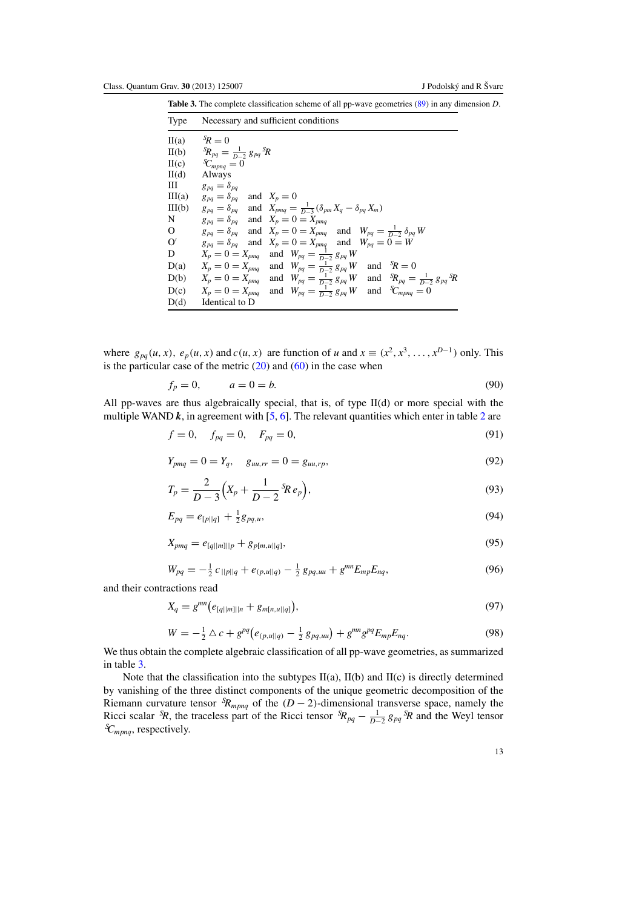<span id="page-13-0"></span>**Table 3.** The complete classification scheme of all pp-wave geometries [\(89\)](#page-12-0) in any dimension *D*.

| Type                      | Necessary and sufficient conditions                                                                         |
|---------------------------|-------------------------------------------------------------------------------------------------------------|
| $\mathbf{II}(\mathbf{a})$ | ${}^5R=0$                                                                                                   |
| II(b)                     | ${}^S\!R_{pa} = \frac{1}{D-2} g_{pa} {}^S\!R$                                                               |
| H(c)                      | ${}^S\!C_{mpnq} = 0$                                                                                        |
| $H(d)$                    | Always                                                                                                      |
| Ш                         | $g_{pa} = \delta_{pa}$                                                                                      |
| III(a)                    | $g_{pq} = \delta_{pq}$ and $X_p = 0$                                                                        |
| III(b)                    | $g_{pq} = \delta_{pq}$ and $X_{pmq} = \frac{1}{D-3} (\delta_{pm} X_q - \delta_{pq} X_m)$                    |
| N                         | $g_{pq} = \delta_{pq}$ and $X_p = 0 = X_{pmq}$                                                              |
| $\overline{O}$            | $g_{pq} = \delta_{pq}$ and $X_p = 0 = X_{pmq}$ and $W_{pq} = \frac{1}{D-2} \delta_{pq} W$                   |
| O′                        | $g_{pq} = \delta_{pq}$ and $X_p = 0 = X_{pmq}$ and $W_{pq} = 0 = W$                                         |
| D                         | $X_p = 0 = X_{pmq}$ and $W_{pq} = \frac{1}{D-2} g_{pq} W$                                                   |
| D(a)                      | $X_p = 0 = X_{pmq}$ and $W_{pq} = \frac{1}{D-2} g_{pq} W$<br>and ${}^s\!R = 0$                              |
| D(b)                      | $X_p = 0 = X_{pmq}$ and $W_{pq} = \frac{1}{D-2} g_{pq} W$ and ${}^{5}R_{pq} = \frac{1}{D-2} g_{pq} {}^{5}R$ |
|                           | $D(c)$ $X_p = 0 = X_{pmq}$ and $W_{pq} = \frac{1}{D-2} g_{pq} W$ and ${}^S\!C_{mpnq} = 0$                   |
| D(d)                      | Identical to D                                                                                              |

where  $g_{pq}(u, x)$ ,  $e_p(u, x)$  and  $c(u, x)$  are function of *u* and  $x \equiv (x^2, x^3, \dots, x^{D-1})$  only. This is the particular case of the metric  $(20)$  and  $(60)$  in the case when

$$
f_p = 0, \qquad a = 0 = b. \tag{90}
$$

All pp-waves are thus algebraically special, that is, of type II(d) or more special with the multiple WAND  $k$ , in agreement with  $[5, 6]$  $[5, 6]$  $[5, 6]$  $[5, 6]$ . The relevant quantities which enter in table [2](#page-12-0) are

$$
f = 0, \quad f_{pq} = 0, \quad F_{pq} = 0,
$$
\n(91)

$$
Y_{pmq} = 0 = Y_q, \quad g_{uu,rr} = 0 = g_{uu,rp}, \tag{92}
$$

$$
T_p = \frac{2}{D-3} \Big( X_p + \frac{1}{D-2} {}^{S\!}Re_p \Big), \tag{93}
$$

$$
E_{pq} = e_{[p||q]} + \frac{1}{2}g_{pq,u},\tag{94}
$$

$$
X_{pmq} = e_{[q||m]||p} + g_{p[m,u||q]},
$$
\n(95)

$$
W_{pq} = -\frac{1}{2} c_{||p||q} + e_{(p,u||q)} - \frac{1}{2} g_{pq,uu} + g^{mn} E_{mp} E_{nq},
$$
\n(96)

and their contractions read

$$
X_q = g^{mn} \big( e_{[q||m]||n} + g_{m[n,u||q]} \big), \tag{97}
$$

$$
W = -\frac{1}{2}\Delta c + g^{pq}(e_{(p,u||q)} - \frac{1}{2}g_{pq,uu}) + g^{mn}g^{pq}E_{mp}E_{nq}.
$$
\n(98)

We thus obtain the complete algebraic classification of all pp-wave geometries, as summarized in table 3.

Note that the classification into the subtypes  $II(a)$ ,  $II(b)$  and  $II(c)$  is directly determined by vanishing of the three distinct components of the unique geometric decomposition of the Riemann curvature tensor  ${}^{S}\!R_{mpnq}$  of the  $(D-2)$ -dimensional transverse space, namely the Ricci scalar <sup>S</sup>R, the traceless part of the Ricci tensor  ${}^S\!R_{pq} - \frac{1}{D-2} g_{pq} S^S\!R$  and the Weyl tensor *S Cmpnq*, respectively.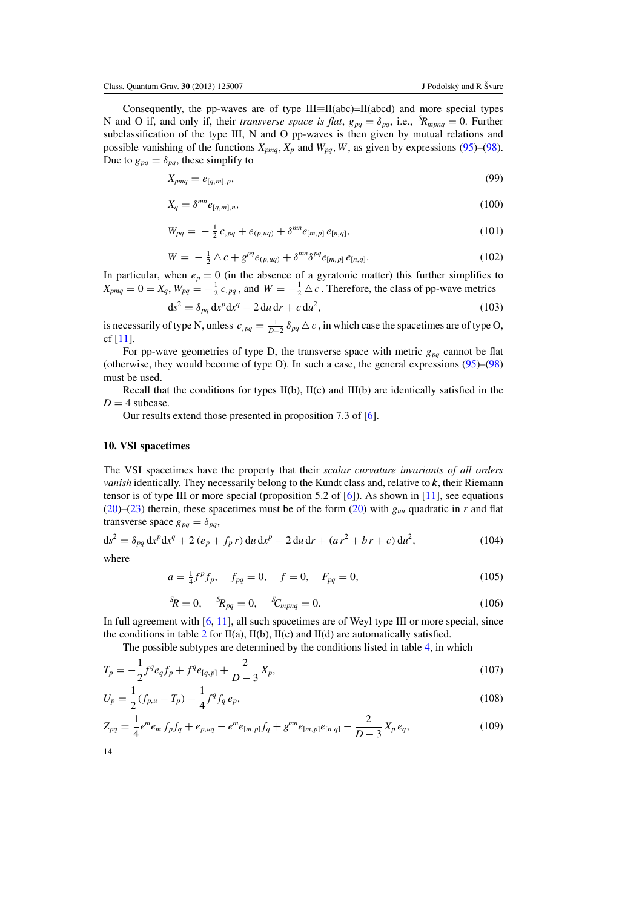<span id="page-14-0"></span>Consequently, the pp-waves are of type  $III \equiv II(abc) = II(abcd)$  and more special types N and O if, and only if, their *transverse space is flat*,  $g_{pq} = \delta_{pq}$ , i.e.,  ${}^S\!R_{mpnq} = 0$ . Further subclassification of the type III, N and O pp-waves is then given by mutual relations and possible vanishing of the functions  $X_{pmq}$ ,  $X_p$  and  $W_{pq}$ ,  $W$ , as given by expressions [\(95\)](#page-13-0)–[\(98\)](#page-13-0). Due to  $g_{pq} = \delta_{pq}$ , these simplify to

$$
X_{pmq} = e_{[q,m],p},\tag{99}
$$

$$
X_q = \delta^{mn} e_{[q,m],n},\tag{100}
$$

$$
W_{pq} = -\frac{1}{2} c_{pq} + e_{(p,uq)} + \delta^{mn} e_{[m,p]} e_{[n,q]}, \qquad (101)
$$

$$
W = -\frac{1}{2}\Delta c + g^{pq}e_{(p,uq)} + \delta^{mn}\delta^{pq}e_{[m,p]}e_{[n,q]}.
$$
 (102)

In particular, when  $e_p = 0$  (in the absence of a gyratonic matter) this further simplifies to  $X_{pmq} = 0 = X_q$ ,  $W_{pq} = -\frac{1}{2}c_{pq}$ , and  $W = -\frac{1}{2}\Delta c$ . Therefore, the class of pp-wave metrics

$$
ds2 = \delta_{pq} dxp dxq - 2 du dr + c du2,
$$
 (103)

is necessarily of type N, unless  $c_{pq} = \frac{1}{D-2} \delta_{pq} \Delta c$ , in which case the spacetimes are of type O, cf [\[11](#page-23-0)].

For pp-wave geometries of type D, the transverse space with metric  $g_{pq}$  cannot be flat (otherwise, they would become of type O). In such a case, the general expressions [\(95\)](#page-13-0)–[\(98\)](#page-13-0) must be used.

Recall that the conditions for types  $II(b)$ ,  $II(c)$  and  $III(b)$  are identically satisfied in the  $D = 4$  subcase.

Our results extend those presented in proposition 7.3 of [\[6\]](#page-23-0).

#### **10. VSI spacetimes**

The VSI spacetimes have the property that their *scalar curvature invariants of all orders vanish* identically. They necessarily belong to the Kundt class and, relative to *k*, their Riemann tensor is of type III or more special (proposition 5.2 of [\[6\]](#page-23-0)). As shown in [\[11](#page-23-0)], see equations [\(20\)](#page-5-0)–[\(23\)](#page-6-0) therein, these spacetimes must be of the form (20) with  $g_{uu}$  quadratic in *r* and flat transverse space  $g_{pq} = \delta_{pq}$ ,

$$
ds^{2} = \delta_{pq} dx^{p} dx^{q} + 2 (e_{p} + f_{p} r) du dx^{p} - 2 du dr + (a r^{2} + b r + c) du^{2},
$$
\n(104)

where

$$
a = \frac{1}{4}f^p f_p, \quad f_{pq} = 0, \quad f = 0, \quad F_{pq} = 0,
$$
\n(105)

$$
{}^{S}R = 0, \t {}^{S}R_{pq} = 0, \t {}^{S}C_{mpnq} = 0.
$$
\t(106)

In full agreement with [\[6,](#page-23-0) [11\]](#page-23-0), all such spacetimes are of Weyl type III or more special, since the conditions in table [2](#page-12-0) for  $II(a)$ ,  $II(b)$ ,  $II(c)$  and  $II(d)$  are automatically satisfied.

The possible subtypes are determined by the conditions listed in table [4,](#page-15-0) in which

$$
T_p = -\frac{1}{2}f^q e_q f_p + f^q e_{[q,p]} + \frac{2}{D-3}X_p,
$$
\n(107)

$$
U_p = \frac{1}{2}(f_{p,u} - T_p) - \frac{1}{4}f^q f_q e_p,
$$
\n(108)

$$
Z_{pq} = \frac{1}{4}e^m e_m f_p f_q + e_{p,uq} - e^m e_{[m,p]} f_q + g^{mn} e_{[m,p]} e_{[n,q]} - \frac{2}{D-3} X_p e_q,
$$
\n(109)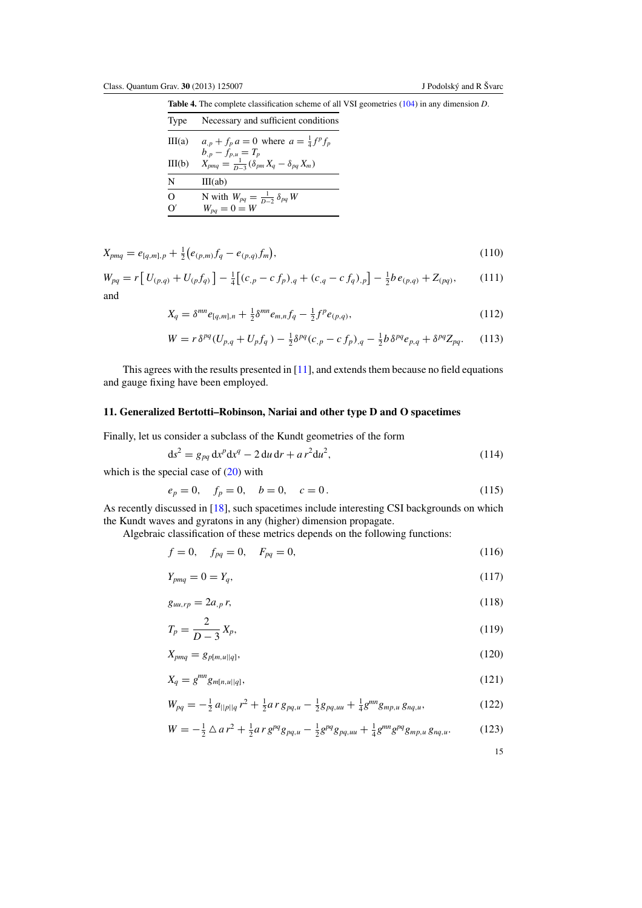<span id="page-15-0"></span>**Table 4.** The complete classification scheme of all VSI geometries [\(104\)](#page-14-0) in any dimension *D*.

| Type     | Necessary and sufficient conditions                                                       |
|----------|-------------------------------------------------------------------------------------------|
| III(a)   | $a_{p} + f_{p} a = 0$ where $a = \frac{1}{4} f^{p} f_{p}$                                 |
| III(b)   | $b_{,p} - f_{p,u} = T_p$<br>$X_{pmq} = \frac{1}{D-3} (\delta_{pm} X_q - \delta_{pq} X_m)$ |
| N        | III(ab)                                                                                   |
| $\Omega$ | N with $W_{pq} = \frac{1}{D-2} \delta_{pq} W$                                             |
|          | $W_{pq} = 0 = W$                                                                          |

$$
X_{pmq} = e_{[q,m],p} + \frac{1}{2} \left( e_{(p,m)} f_q - e_{(p,q)} f_m \right), \tag{110}
$$

$$
W_{pq} = r \left[ U_{(p,q)} + U_{(p} f_{q)} \right] - \frac{1}{4} \left[ (c_{,p} - c f_{p})_{,q} + (c_{,q} - c f_{q})_{,p} \right] - \frac{1}{2} b e_{(p,q)} + Z_{(pq)}, \tag{111}
$$

and

$$
X_q = \delta^{mn} e_{[q,m],n} + \frac{1}{2} \delta^{mn} e_{m,n} f_q - \frac{1}{2} f^p e_{(p,q)},
$$
\n(112)

$$
W = r \delta^{pq} (U_{p,q} + U_p f_q) - \frac{1}{2} \delta^{pq} (c_{,p} - c f_p)_{,q} - \frac{1}{2} b \delta^{pq} e_{p,q} + \delta^{pq} Z_{pq}.
$$
 (113)

This agrees with the results presented in [\[11](#page-23-0)], and extends them because no field equations and gauge fixing have been employed.

# **11. Generalized Bertotti–Robinson, Nariai and other type D and O spacetimes**

Finally, let us consider a subclass of the Kundt geometries of the form

$$
ds^{2} = g_{pq} dx^{p} dx^{q} - 2 du dr + ar^{2} du^{2},
$$
\n(114)

which is the special case of  $(20)$  with

$$
e_p = 0, \quad f_p = 0, \quad b = 0, \quad c = 0.
$$
 (115)

As recently discussed in [\[18\]](#page-23-0), such spacetimes include interesting CSI backgrounds on which the Kundt waves and gyratons in any (higher) dimension propagate.

Algebraic classification of these metrics depends on the following functions:

$$
f = 0, \quad f_{pq} = 0, \quad F_{pq} = 0,
$$
\n(116)

$$
Y_{pmq} = 0 = Y_q,\tag{117}
$$

$$
g_{uu,rp} = 2a_{,p}r,\tag{118}
$$

$$
T_p = \frac{2}{D-3} X_p,
$$
\n(119)

$$
X_{pmq} = g_{p[m,u||q]},\tag{120}
$$

$$
X_q = g^{mn} g_{m[n,u||q]},
$$
\n(121)

$$
W_{pq} = -\frac{1}{2} a_{||p||q} r^2 + \frac{1}{2} a r g_{pq,u} - \frac{1}{2} g_{pq,uu} + \frac{1}{4} g^{mn} g_{mp,u} g_{nq,u},
$$
(122)

$$
W = -\frac{1}{2} \Delta a r^2 + \frac{1}{2} a r g^{pq} g_{pq,u} - \frac{1}{2} g^{pq} g_{pq,uu} + \frac{1}{4} g^{mn} g^{pq} g_{mp,u} g_{nq,u}.
$$
 (123)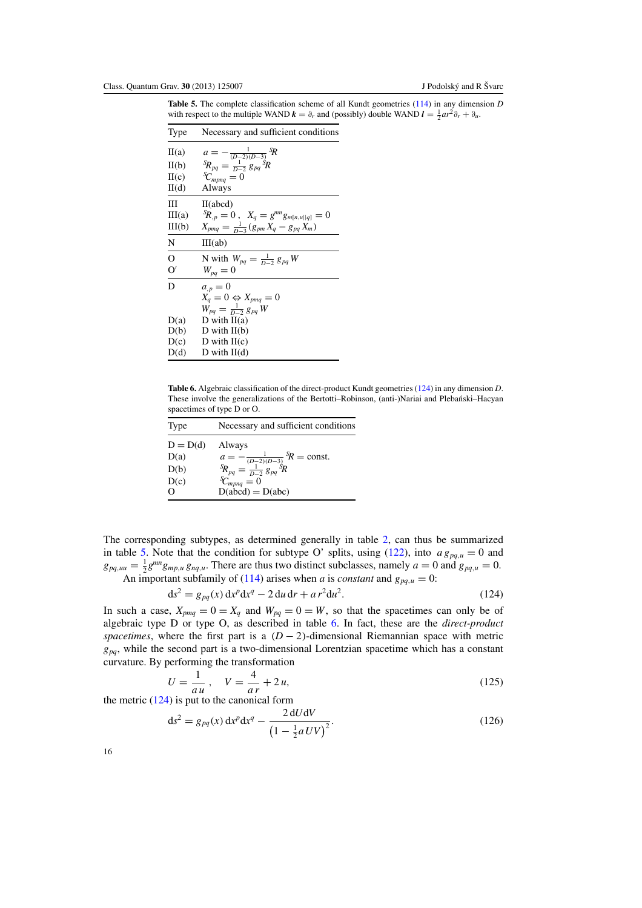<span id="page-16-0"></span>**Table 5.** The complete classification scheme of all Kundt geometries [\(114\)](#page-15-0) in any dimension *D* with respect to the multiple WAND  $\mathbf{k} = \partial_r$  and (possibly) double WAND  $\mathbf{l} = \frac{1}{2} a r^2 \partial_r + \partial_u$ .

| Type           | Necessary and sufficient conditions                                                         |
|----------------|---------------------------------------------------------------------------------------------|
| II(a)          | $a = -\frac{1}{(D-2)(D-3)}$ <sup>S</sup> R<br>${}^{S}R_{pq} = \frac{1}{D-2} g_{pq} {}^{S}R$ |
| II(b)          |                                                                                             |
| H(c)           | ${}^S\!C_{mpnq}=0$                                                                          |
| $H(d)$         | Always                                                                                      |
| Ш              | II(abcd)                                                                                    |
| III(a)         | ${}^S\!R_{,p}=0$ , $X_q=g^{mn}g_{m[n,u  q]}=0$                                              |
| III(b)         | $X_{pmq} = \frac{1}{D-3}(g_{pm}X_q - g_{pq}X_m)$                                            |
| N              | III(ab)                                                                                     |
| $\overline{O}$ | N with $W_{pq} = \frac{1}{D-2} g_{pq} W$                                                    |
| O'             | $W_{pa} = 0$                                                                                |
| D              | $a_{,p}=0$                                                                                  |
|                | $X_q = 0 \Leftrightarrow X_{pmq} = 0$                                                       |
|                | $W_{pq} = \frac{1}{D-2} g_{pq} W$                                                           |
| D(a)           | D with $II(a)$                                                                              |
| D(b)           | D with $II(b)$                                                                              |
| D(c)           | D with $II(c)$                                                                              |
| D(d)           | D with $II(d)$                                                                              |

**Table 6.** Algebraic classification of the direct-product Kundt geometries (124) in any dimension *D*. These involve the generalizations of the Bertotti-Robinson, (anti-)Nariai and Plebański-Hacyan spacetimes of type D or O.

| Type       | Necessary and sufficient conditions                                                       |
|------------|-------------------------------------------------------------------------------------------|
| $D = D(d)$ | Always                                                                                    |
| D(a)       | $a = -\frac{1}{(D-2)(D-3)}$ ${}^5R$ = const.<br>${}^5R_{pq} = \frac{1}{D-2} g_{pq} {}^5R$ |
| D(b)       | ${}^s\!C_{mpnq} = 0$                                                                      |
| D(c)       | $D(\vec{abcd}) = D(abc)$                                                                  |

The corresponding subtypes, as determined generally in table [2,](#page-12-0) can thus be summarized in table 5. Note that the condition for subtype O' splits, using [\(122\)](#page-15-0), into  $a g_{pq,u} = 0$  and  $g_{pq,uu} = \frac{1}{2} g^{mn} g_{mp,u} g_{nq,u}$ . There are thus two distinct subclasses, namely  $a = 0$  and  $g_{pq,u} = 0$ . An important subfamily of [\(114\)](#page-15-0) arises when *a* is *constant* and  $g_{pq,u} = 0$ :

$$
ds^{2} = g_{pq}(x) dx^{p} dx^{q} - 2 du dr + ar^{2} du^{2}.
$$
 (124)

In such a case,  $X_{pmq} = 0 = X_q$  and  $W_{pq} = 0 = W$ , so that the spacetimes can only be of algebraic type D or type O, as described in table 6. In fact, these are the *direct-product spacetimes*, where the first part is a  $(D-2)$ -dimensional Riemannian space with metric  $g_{pq}$ , while the second part is a two-dimensional Lorentzian spacetime which has a constant curvature. By performing the transformation

$$
U = \frac{1}{au}, \quad V = \frac{4}{ar} + 2u,
$$
\n(125)

the metric (124) is put to the canonical form

$$
ds^{2} = g_{pq}(x) dx^{p} dx^{q} - \frac{2 dU dV}{\left(1 - \frac{1}{2} a U V\right)^{2}}.
$$
 (126)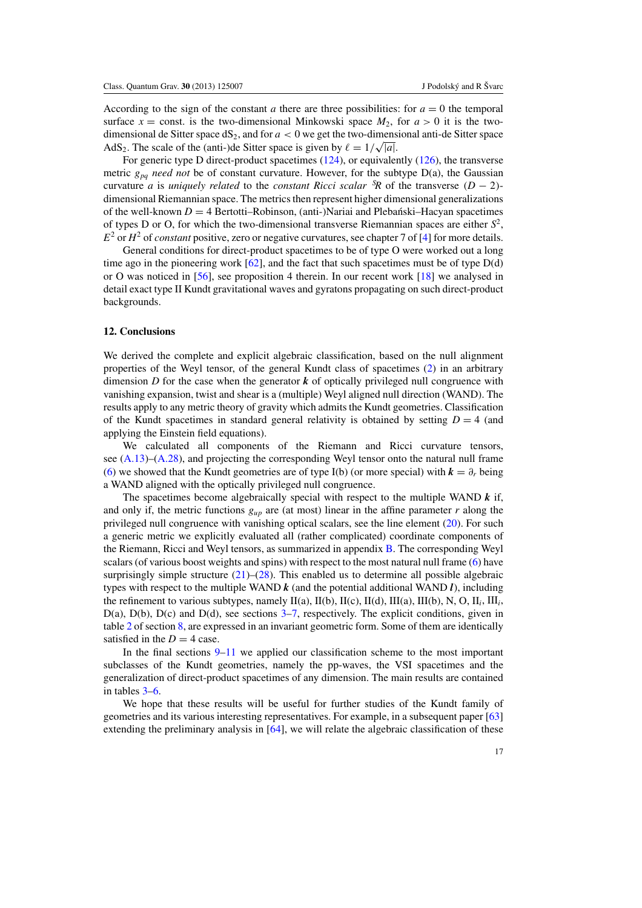According to the sign of the constant *a* there are three possibilities: for  $a = 0$  the temporal surface  $x =$  const. is the two-dimensional Minkowski space  $M_2$ , for  $a > 0$  it is the twodimensional de Sitter space  $dS_2$ , and for  $a < 0$  we get the two-dimensional anti-de Sitter space almensional de sitter space d<sub>32</sub>, and for  $a < 0$  we get the two-different AdS<sub>2</sub>. The scale of the (anti-)de Sitter space is given by  $\ell = 1/\sqrt{|a|}$ .

For generic type D direct-product spacetimes [\(124\)](#page-16-0), or equivalently [\(126\)](#page-16-0), the transverse metric *gpq need not* be of constant curvature. However, for the subtype D(a), the Gaussian curvature *a* is *uniquely related* to the *constant Ricci scalar*  ${}^{S}R$  of the transverse  $(D - 2)$ dimensional Riemannian space. The metrics then represent higher dimensional generalizations of the well-known  $D = 4$  Bertotti–Robinson, (anti-)Nariai and Plebanski–Hacyan spacetimes of types D or O, for which the two-dimensional transverse Riemannian spaces are either  $S^2$ ,  $E<sup>2</sup>$  or  $H<sup>2</sup>$  of *constant* positive, zero or negative curvatures, see chapter 7 of [\[4\]](#page-23-0) for more details.

General conditions for direct-product spacetimes to be of type O were worked out a long time ago in the pioneering work  $[62]$  $[62]$ , and the fact that such spacetimes must be of type  $D(d)$ or O was noticed in [\[56\]](#page-25-0), see proposition 4 therein. In our recent work [\[18\]](#page-23-0) we analysed in detail exact type II Kundt gravitational waves and gyratons propagating on such direct-product backgrounds.

#### **12. Conclusions**

We derived the complete and explicit algebraic classification, based on the null alignment properties of the Weyl tensor, of the general Kundt class of spacetimes [\(2\)](#page-3-0) in an arbitrary dimension *D* for the case when the generator  $\boldsymbol{k}$  of optically privileged null congruence with vanishing expansion, twist and shear is a (multiple) Weyl aligned null direction (WAND). The results apply to any metric theory of gravity which admits the Kundt geometries. Classification of the Kundt spacetimes in standard general relativity is obtained by setting  $D = 4$  (and applying the Einstein field equations).

We calculated all components of the Riemann and Ricci curvature tensors, see [\(A.13\)](#page-18-0)–[\(A.28\)](#page-19-0), and projecting the corresponding Weyl tensor onto the natural null frame [\(6\)](#page-3-0) we showed that the Kundt geometries are of type I(b) (or more special) with  $k = \partial_r$  being a WAND aligned with the optically privileged null congruence.

The spacetimes become algebraically special with respect to the multiple WAND *k* if, and only if, the metric functions  $g_{\mu p}$  are (at most) linear in the affine parameter *r* along the privileged null congruence with vanishing optical scalars, see the line element [\(20\)](#page-5-0). For such a generic metric we explicitly evaluated all (rather complicated) coordinate components of the Riemann, Ricci and Weyl tensors, as summarized in appendix [B.](#page-20-0) The corresponding Weyl scalars (of various boost weights and spins) with respect to the most natural null frame [\(6\)](#page-3-0) have surprisingly simple structure  $(21)$ – $(28)$ . This enabled us to determine all possible algebraic types with respect to the multiple WAND  $k$  (and the potential additional WAND  $l$ ), including the refinement to various subtypes, namely  $II(a)$ ,  $II(b)$ ,  $II(c)$ ,  $II(d)$ ,  $III(a)$ ,  $III(b)$ , N, O,  $II_i$ ,  $III_i$ ,  $D(a)$ ,  $D(b)$ ,  $D(c)$  and  $D(d)$ , see sections  $3-7$  $3-7$ , respectively. The explicit conditions, given in table [2](#page-12-0) of section [8,](#page-11-0) are expressed in an invariant geometric form. Some of them are identically satisfied in the  $D = 4$  case.

In the final sections  $9-11$  $9-11$  we applied our classification scheme to the most important subclasses of the Kundt geometries, namely the pp-waves, the VSI spacetimes and the generalization of direct-product spacetimes of any dimension. The main results are contained in tables [3–](#page-13-0)[6.](#page-16-0)

We hope that these results will be useful for further studies of the Kundt family of geometries and its various interesting representatives. For example, in a subsequent paper [\[63](#page-25-0)] extending the preliminary analysis in [\[64](#page-25-0)], we will relate the algebraic classification of these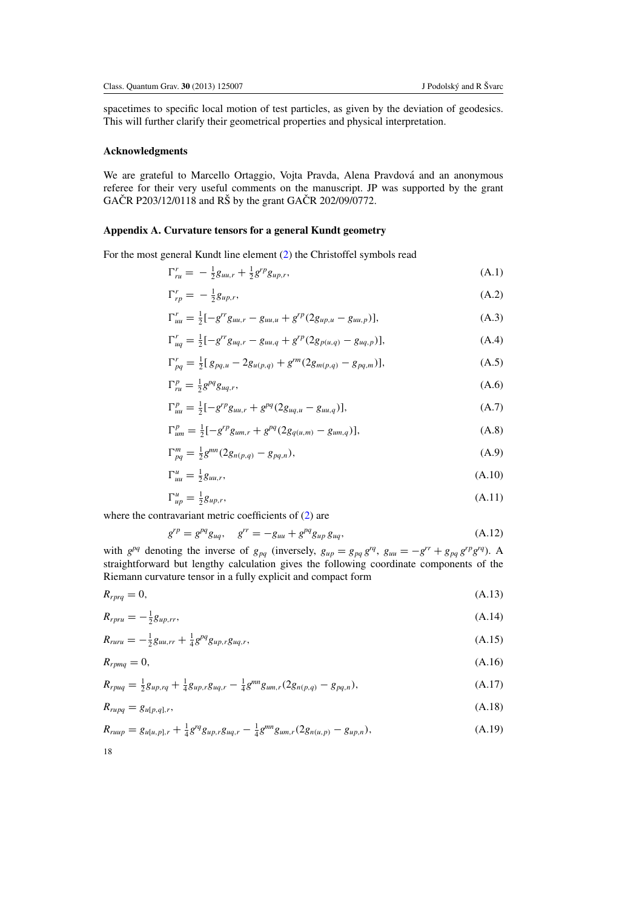<span id="page-18-0"></span>spacetimes to specific local motion of test particles, as given by the deviation of geodesics. This will further clarify their geometrical properties and physical interpretation.

# **Acknowledgments**

We are grateful to Marcello Ortaggio, Vojta Pravda, Alena Pravdová and an anonymous referee for their very useful comments on the manuscript. JP was supported by the grant GAČR P203/12/0118 and RŠ by the grant GAČR 202/09/0772.

# **Appendix A. Curvature tensors for a general Kundt geometry**

For the most general Kundt line element [\(2\)](#page-3-0) the Christoffel symbols read

$$
\Gamma_{ru}^r = -\frac{1}{2}g_{uu,r} + \frac{1}{2}g^{rp}g_{up,r},\tag{A.1}
$$

$$
\Gamma_{rp}^r = -\frac{1}{2}g_{up,r},\tag{A.2}
$$

$$
\Gamma_{uu}^r = \frac{1}{2} \left[ -g^{rr} g_{uu,r} - g_{uu,u} + g^{rp} (2g_{up,u} - g_{uu,p}) \right],\tag{A.3}
$$

$$
\Gamma_{uq}^r = \frac{1}{2} \left[ -g^{rr} g_{uq,r} - g_{uu,q} + g^{rp} (2g_{p(u,q)} - g_{uq,p}) \right],\tag{A.4}
$$

$$
\Gamma_{pq}^r = \frac{1}{2} [g_{pq,u} - 2g_{u(p,q)} + g^{rm}(2g_{m(p,q)} - g_{pq,m})],
$$
\n(A.5)

$$
\Gamma_{ru}^p = \frac{1}{2} g^{pq} g_{uq,r},\tag{A.6}
$$

$$
\Gamma_{uu}^p = \frac{1}{2} [-g^{rp} g_{uu,r} + g^{pq} (2g_{uq,u} - g_{uu,q})], \tag{A.7}
$$

$$
\Gamma_{um}^p = \frac{1}{2} [-g^{rp} g_{um,r} + g^{pq} (2g_{q(u,m)} - g_{um,q})], \tag{A.8}
$$

$$
\Gamma_{pq}^{m} = \frac{1}{2} g^{mn} (2g_{n(p,q)} - g_{pq,n}), \tag{A.9}
$$

$$
\Gamma_{uu}^u = \frac{1}{2} g_{uu,r},\tag{A.10}
$$

$$
\Gamma_{up}^{u} = \frac{1}{2} g_{up,r},\tag{A.11}
$$

where the contravariant metric coefficients of [\(2\)](#page-3-0) are

18

$$
g^{rp} = g^{pq} g_{uq}, \quad g^{rr} = -g_{uu} + g^{pq} g_{up} g_{uq}, \tag{A.12}
$$

with  $g^{pq}$  denoting the inverse of  $g_{pq}$  (inversely,  $g_{up} = g_{pq} g^{rq}$ ,  $g_{uu} = -g^{rr} + g_{pq} g^{rp} g^{rq}$ ). A straightforward but lengthy calculation gives the following coordinate components of the Riemann curvature tensor in a fully explicit and compact form

$$
R_{rprq} = 0,\tag{A.13}
$$

$$
R_{rpru} = -\frac{1}{2}g_{up,rr},\tag{A.14}
$$

$$
R_{ruru} = -\frac{1}{2}g_{uu,rr} + \frac{1}{4}g^{pq}g_{up,r}g_{uq,r},\tag{A.15}
$$

$$
R_{rpmq} = 0,\tag{A.16}
$$

$$
R_{rpuq} = \frac{1}{2}g_{up,rq} + \frac{1}{4}g_{up,r}g_{uq,r} - \frac{1}{4}g^{mn}g_{um,r}(2g_{n(p,q)} - g_{pq,n}),
$$
(A.17)

$$
R_{rupq} = g_{u[p,q],r},\tag{A.18}
$$

$$
R_{ruup} = g_{u[u,p],r} + \frac{1}{4}g^{rq}g_{up,r}g_{uq,r} - \frac{1}{4}g^{mn}g_{um,r}(2g_{n(u,p)} - g_{up,n}),
$$
\n(A.19)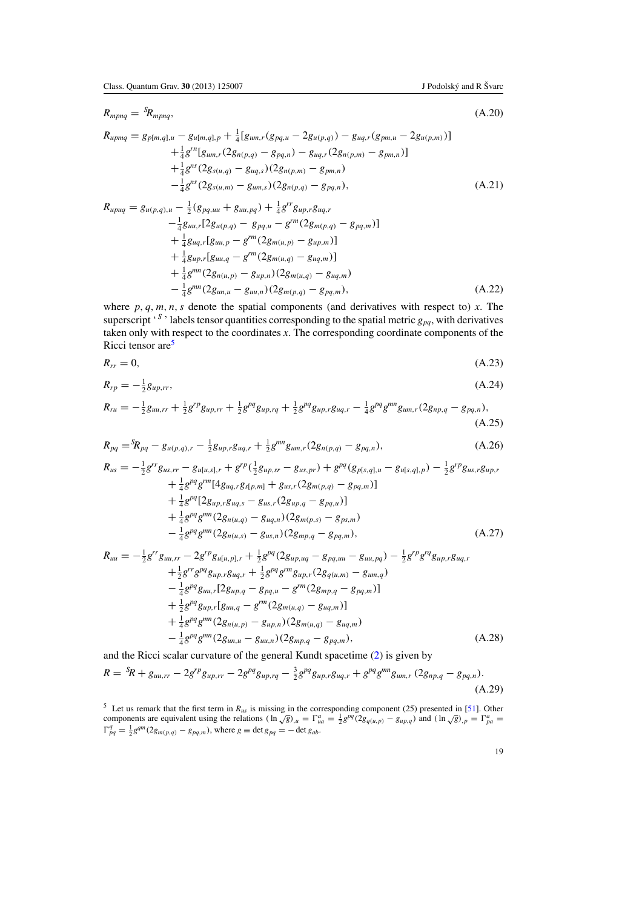<span id="page-19-0"></span>
$$
R_{mpnq} = {}^{S}\!R_{mpnq}, \tag{A.20}
$$

$$
R_{upmq} = g_{p[m,q],u} - g_{u[m,q],p} + \frac{1}{4} [g_{um,r}(g_{pq,u} - 2g_{u(p,q)}) - g_{uq,r}(g_{pm,u} - 2g_{u(p,m)})]
$$
  
+ 
$$
\frac{1}{4} g^{rn} [g_{um,r}(2g_{n(p,q)} - g_{pq,n}) - g_{uq,r}(2g_{n(p,m)} - g_{pm,n})]
$$
  
+ 
$$
\frac{1}{4} g^{ns}(2g_{s(u,q)} - g_{uq,s})(2g_{n(p,m)} - g_{pm,n})
$$
  
- 
$$
\frac{1}{4} g^{ns}(2g_{s(u,m)} - g_{um,s})(2g_{n(p,q)} - g_{pq,n}),
$$
 (A.21)

$$
R_{upuq} = g_{u(p,q),u} - \frac{1}{2} (g_{pq,uu} + g_{uu,pq}) + \frac{1}{4} g^{rr} g_{up,r} g_{uq,r} - \frac{1}{4} g_{uu,r} [2g_{u(p,q)} - g_{pq,u} - g^{rm} (2g_{m(p,q)} - g_{pq,m})] + \frac{1}{4} g_{uq,r} [g_{uu,p} - g^{rm} (2g_{m(u,p)} - g_{up,m})] + \frac{1}{4} g_{up,r} [g_{uu,q} - g^{rm} (2g_{m(u,q)} - g_{uq,m})] + \frac{1}{4} g^{mn} (2g_{n(u,p)} - g_{up,n}) (2g_{m(u,q)} - g_{uq,m}) - \frac{1}{4} g^{mn} (2g_{uu,u} - g_{uu,n}) (2g_{m(p,q)} - g_{pq,m}),
$$
\n(A.22)

where  $p, q, m, n, s$  denote the spatial components (and derivatives with respect to)  $x$ . The superscript '<sup>S</sup>' labels tensor quantities corresponding to the spatial metric  $g_{pq}$ , with derivatives taken only with respect to the coordinates *x*. The corresponding coordinate components of the Ricci tensor are<sup>5</sup>

$$
R_{rr} = 0,\tag{A.23}
$$

$$
R_{rp} = -\frac{1}{2}g_{up,rr},\tag{A.24}
$$

$$
R_{ru} = -\frac{1}{2}g_{uu,rr} + \frac{1}{2}g^{rp}g_{up,rr} + \frac{1}{2}g^{pq}g_{up,rq} + \frac{1}{2}g^{pq}g_{up,r}g_{uq,r} - \frac{1}{4}g^{pq}g^{mn}g_{um,r}(2g_{np,q} - g_{pq,n}),
$$
\n(A.25)

$$
R_{pq} = {}^{S}\!R_{pq} - g_{u(p,q),r} - \frac{1}{2}g_{up,r}g_{uq,r} + \frac{1}{2}g^{mn}g_{um,r}(2g_{n(p,q)} - g_{pq,n}),
$$
\n(A.26)

$$
R_{us} = -\frac{1}{2}g^{rr}g_{us,rr} - g_{u[u,s],r} + g^{rp}(\frac{1}{2}g_{up,sr} - g_{us,pr}) + g^{pq}(g_{p[s,q],u} - g_{u[s,q],p}) - \frac{1}{2}g^{rp}g_{us,r}g_{up,r} + \frac{1}{4}g^{pq}g^{rm}[4g_{uq,r}g_{s[p,m]} + g_{us,r}(2g_{m(p,q)} - g_{pq,m})] + \frac{1}{4}g^{pq}[2g_{up,r}g_{uq,s} - g_{us,r}(2g_{up,q} - g_{pq,u})] + \frac{1}{4}g^{pq}g^{mn}(2g_{n(u,q)} - g_{uq,n})(2g_{m(p,s)} - g_{ps,m}) - \frac{1}{4}g^{pq}g^{mn}(2g_{n(u,s)} - g_{us,n})(2g_{mp,q} - g_{pq,m}), \qquad (A.27)
$$

$$
R_{uu} = -\frac{1}{2}g^{rr}g_{uu,rr} - 2g^{rp}g_{u[u,p],r} + \frac{1}{2}g^{pq}(2g_{up,uq} - g_{pq,uu} - g_{uu,pq}) - \frac{1}{2}g^{rp}g^{rq}g_{up,r}g_{uq,r} + \frac{1}{2}g^{rr}g^{pq}g_{up,r}g_{uq,r} + \frac{1}{2}g^{pq}g^{rm}g_{up,r}(2g_{q(u,m)} - g_{um,q}) - \frac{1}{4}g^{pq}g_{uu,r}[2g_{up,q} - g_{pq,u} - g^{rm}(2g_{mp,q} - g_{pq,m})] + \frac{1}{2}g^{pq}g_{up,r}[g_{uu,q} - g^{rm}(2g_{m(u,q)} - g_{uq,m})] + \frac{1}{4}g^{pq}g^{mn}(2g_{n(u,p)} - g_{up,n})(2g_{m(u,q)} - g_{uq,m}) - \frac{1}{4}g^{pq}g^{mn}(2g_{um,u} - g_{uu,n})(2g_{mp,q} - g_{pq,m}), \qquad (A.28)
$$

and the Ricci scalar curvature of the general Kundt spacetime [\(2\)](#page-3-0) is given by

$$
R = {}^{S}\!R + g_{uu,rr} - 2g^{rp}g_{up,rr} - 2g^{pq}g_{up,rq} - \frac{3}{2}g^{pq}g_{up,r}g_{uq,r} + g^{pq}g^{mn}g_{um,r}(2g_{np,q} - g_{pq,n}).
$$
\n(A.29)

<sup>5</sup> Let us remark that the first term in  $R_{us}$  is missing in the corresponding component (25) presented in [\[51](#page-25-0)]. Other components are equivalent using the relations  $(\ln \sqrt{g})_{,u} = \Gamma_{ua}^a = \frac{1}{2} g^{pq} (2g_{q(u,p)} - g_{up,q})$  and  $(\ln$  $\Gamma_{pq}^q = \frac{1}{2} g^{qm} (2g_{m(p,q)} - g_{pq,m})$ , where  $g \equiv \det g_{pq} = -\det g_{ab}$ .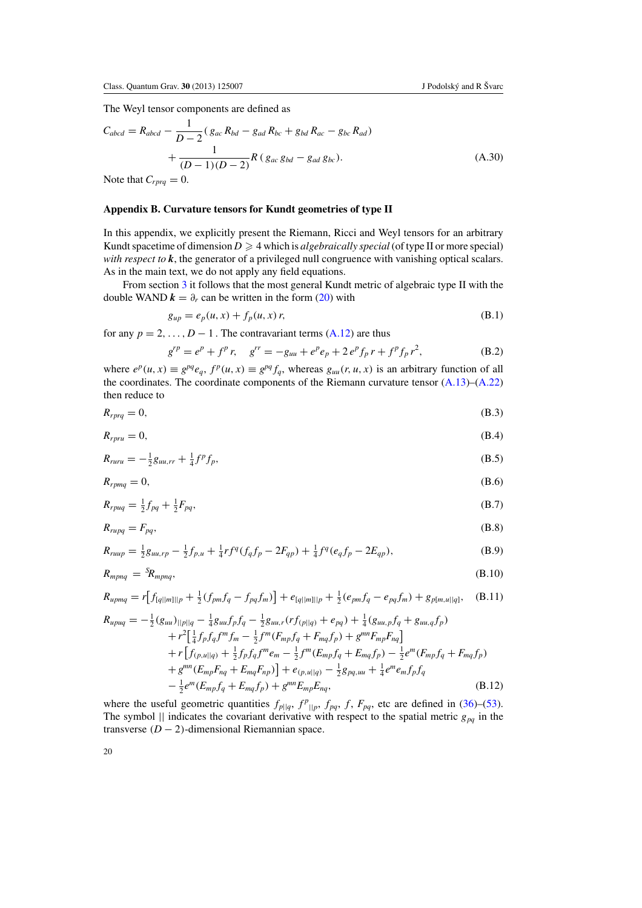<span id="page-20-0"></span>The Weyl tensor components are defined as

$$
C_{abcd} = R_{abcd} - \frac{1}{D-2} (g_{ac} R_{bd} - g_{ad} R_{bc} + g_{bd} R_{ac} - g_{bc} R_{ad})
$$
  
+ 
$$
\frac{1}{(D-1)(D-2)} R (g_{ac} g_{bd} - g_{ad} g_{bc}).
$$
 (A.30)

Note that  $C_{rprq} = 0$ .

# **Appendix B. Curvature tensors for Kundt geometries of type II**

In this appendix, we explicitly present the Riemann, Ricci and Weyl tensors for an arbitrary Kundt spacetime of dimension  $D \geq 4$  which is *algebraically special* (of type II or more special) *with respect to k*, the generator of a privileged null congruence with vanishing optical scalars. As in the main text, we do not apply any field equations.

From section [3](#page-5-0) it follows that the most general Kundt metric of algebraic type II with the double WAND  $k = \partial_r$  can be written in the form [\(20\)](#page-5-0) with

$$
g_{up} = e_p(u, x) + f_p(u, x) r,
$$
 (B.1)

for any  $p = 2, \ldots, D - 1$ . The contravariant terms [\(A.12\)](#page-18-0) are thus

$$
g^{r p} = e^p + f^p r, \quad g^{r r} = -g_{u u} + e^p e_p + 2 e^p f_p r + f^p f_p r^2,
$$
 (B.2)

where  $e^p(u, x) \equiv g^{pq}e_q, f^p(u, x) \equiv g^{pq}f_q$ , whereas  $g_{uu}(r, u, x)$  is an arbitrary function of all the coordinates. The coordinate components of the Riemann curvature tensor  $(A.13)$ – $(A.22)$ then reduce to

$$
R_{rprq} = 0,\t\t(B.3)
$$

$$
R_{rpru} = 0,\t\t(B.4)
$$

$$
R_{runu} = -\frac{1}{2}g_{uu,rr} + \frac{1}{4}f^p f_p,
$$
\n(B.5)

$$
R_{rpmq} = 0,\t\t(B.6)
$$

$$
R_{rpuq} = \frac{1}{2}f_{pq} + \frac{1}{2}F_{pq},\tag{B.7}
$$

$$
R_{rupq} = F_{pq},\tag{B.8}
$$

$$
R_{rump} = \frac{1}{2}g_{uu,rp} - \frac{1}{2}f_{p,u} + \frac{1}{4}rf^q(f_qf_p - 2F_{qp}) + \frac{1}{4}f^q(e_qf_p - 2E_{qp}),
$$
(B.9)

$$
R_{mpnq} = {}^{S}\!R_{mpnq}, \tag{B.10}
$$

$$
R_{upmq} = r[f_{[q||m]||p} + \frac{1}{2}(f_{pm}f_q - f_{pq}f_m)] + e_{[q||m]||p} + \frac{1}{2}(e_{pm}f_q - e_{pq}f_m) + g_{p[m,u||q]}, \quad (B.11)
$$

$$
R_{upuq} = -\frac{1}{2} (g_{uu})_{||p||q} - \frac{1}{4} g_{uu} f_p f_q - \frac{1}{2} g_{uu,r} (r f_{(p||q)} + e_{pq}) + \frac{1}{4} (g_{uu,p} f_q + g_{uu,q} f_p) + r^2 \left[ \frac{1}{4} f_p f_q f^m f_m - \frac{1}{2} f^m (F_{mp} f_q + F_{mq} f_p) + g^{mn} F_{mp} F_{nq} \right] + r \left[ f_{(p,u||q)} + \frac{1}{2} f_p f_q f^m e_m - \frac{1}{2} f^m (E_{mp} f_q + E_{mq} f_p) - \frac{1}{2} e^m (F_{mp} f_q + F_{mq} f_p) \right] + g^{mn} (E_{mp} F_{nq} + E_{mq} F_{np}) \left] + e_{(p,u||q)} - \frac{1}{2} g_{pq,uu} + \frac{1}{4} e^m e_m f_p f_q \right) - \frac{1}{2} e^m (E_{mp} f_q + E_{mq} f_p) + g^{mn} E_{mp} E_{nq}, \tag{B.12}
$$

where the useful geometric quantities  $f_{p||q}$ ,  $f_{p||p}$ ,  $f_{pq}$ ,  $f$ ,  $F_{pq}$ , etc are defined in [\(36\)](#page-7-0)–[\(53\)](#page-7-0). The symbol  $||$  indicates the covariant derivative with respect to the spatial metric  $g_{pq}$  in the transverse  $(D - 2)$ -dimensional Riemannian space.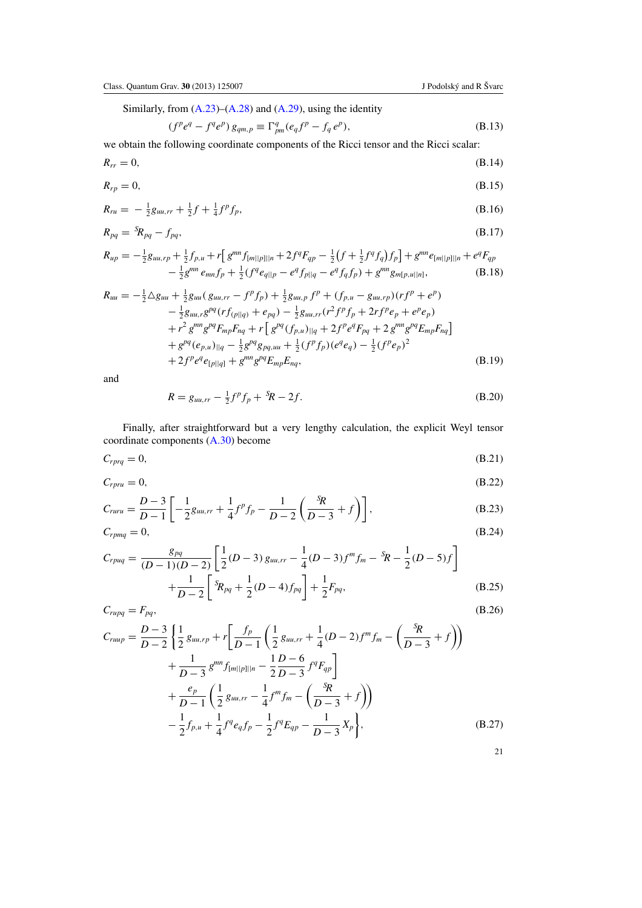<span id="page-21-0"></span>Similarly, from  $(A.23)$ – $(A.28)$  and  $(A.29)$ , using the identity

$$
(fpeq - fqep) gqm,p \equiv \Gammaqpm(eqfp - fqep),
$$
 (B.13)

we obtain the following coordinate components of the Ricci tensor and the Ricci scalar:

$$
R_{rr} = 0,\t\t(B.14)
$$

$$
R_{rp} = 0,\t\t(B.15)
$$

$$
R_{ru} = -\frac{1}{2}g_{uu,rr} + \frac{1}{2}f + \frac{1}{4}f^p f_p,
$$
\n(B.16)

$$
R_{pq} = {}^{S}\!R_{pq} - f_{pq}, \tag{B.17}
$$

$$
R_{up} = -\frac{1}{2}g_{uu,rp} + \frac{1}{2}f_{p,u} + r \Big[ g^{mn} f_{[m||p]||n} + 2f^q F_{qp} - \frac{1}{2} \big( f + \frac{1}{2} f^q f_q \big) f_p \Big] + g^{mn} e_{[m||p]||n} + e^q F_{qp} - \frac{1}{2} g^{mn} e_{mn} f_p + \frac{1}{2} \big( f^q e_{q||p} - e^q f_{p||q} - e^q f_q f_p \big) + g^{mn} g_{m[p,u||n]}, \tag{B.18}
$$

$$
R_{uu} = -\frac{1}{2}\Delta g_{uu} + \frac{1}{2}g_{uu}(g_{uu,rr} - f^p f_p) + \frac{1}{2}g_{uu,p}f^p + (f_{p,u} - g_{uu,rp})(rf^p + e^p) - \frac{1}{2}g_{uu,rg}g^{pq}(rf_{(p||q)} + e_{pq}) - \frac{1}{2}g_{uu,rr}(r^2 f^p f_p + 2rf^p e_p + e^p e_p) + r^2 g^{mn}g^{pq}F_{mp}F_{nq} + r \left[g^{pq}(f_{p,u})_{||q} + 2f^p e^q F_{pq} + 2g^{mn}g^{pq}E_{mp}F_{nq}\right] + g^{pq}(e_{p,u})_{||q} - \frac{1}{2}g^{pq}g_{pq,uu} + \frac{1}{2}(f^p f_p)(e^q e_q) - \frac{1}{2}(f^p e_p)^2 + 2f^p e^q e_{[p||q]} + g^{mn}g^{pq}E_{mp}E_{nq},
$$
\n(B.19)

and

$$
R = g_{uu,rr} - \frac{1}{2}f^p f_p + {}^S \! R - 2f. \tag{B.20}
$$

Finally, after straightforward but a very lengthy calculation, the explicit Weyl tensor coordinate components [\(A.30\)](#page-20-0) become

$$
C_{rprq} = 0,\t\t(B.21)
$$

$$
C_{rpru} = 0, \tag{B.22}
$$

$$
C_{ruru} = \frac{D-3}{D-1} \left[ -\frac{1}{2} g_{uu,rr} + \frac{1}{4} f^p f_p - \frac{1}{D-2} \left( \frac{s_R}{D-3} + f \right) \right],
$$
 (B.23)

$$
C_{rpmq} = 0,\tag{B.24}
$$

$$
C_{rpuq} = \frac{g_{pq}}{(D-1)(D-2)} \left[ \frac{1}{2} (D-3) g_{uu,rr} - \frac{1}{4} (D-3) f^{m} f_{m} - {}^{5}R - \frac{1}{2} (D-5) f \right] + \frac{1}{D-2} \left[ {}^{5}R_{pq} + \frac{1}{2} (D-4) f_{pq} \right] + \frac{1}{2} F_{pq},
$$
\n(B.25)

$$
C_{rupp} = F_{pq},
$$
\n
$$
C_{rupp} = \frac{D-3}{D-2} \left\{ \frac{1}{2} g_{uu,rp} + r \left[ \frac{f_p}{D-1} \left( \frac{1}{2} g_{uu,rr} + \frac{1}{4} (D-2) f^m f_m - \left( \frac{s_R}{D-3} + f \right) \right) \right.\right.\n+ \frac{1}{D-3} g^{mn} f_{[m||p]||n} - \frac{1}{2} \frac{D-6}{D-3} f^q F_{qp} \right]\n+ \frac{e_p}{D-1} \left( \frac{1}{2} g_{uu,rr} - \frac{1}{4} f^m f_m - \left( \frac{s_R}{D-3} + f \right) \right)\n- \frac{1}{2} f_{p,u} + \frac{1}{4} f^q e_q f_p - \frac{1}{2} f^q E_{qp} - \frac{1}{D-3} X_p \right),
$$
\n(B.27)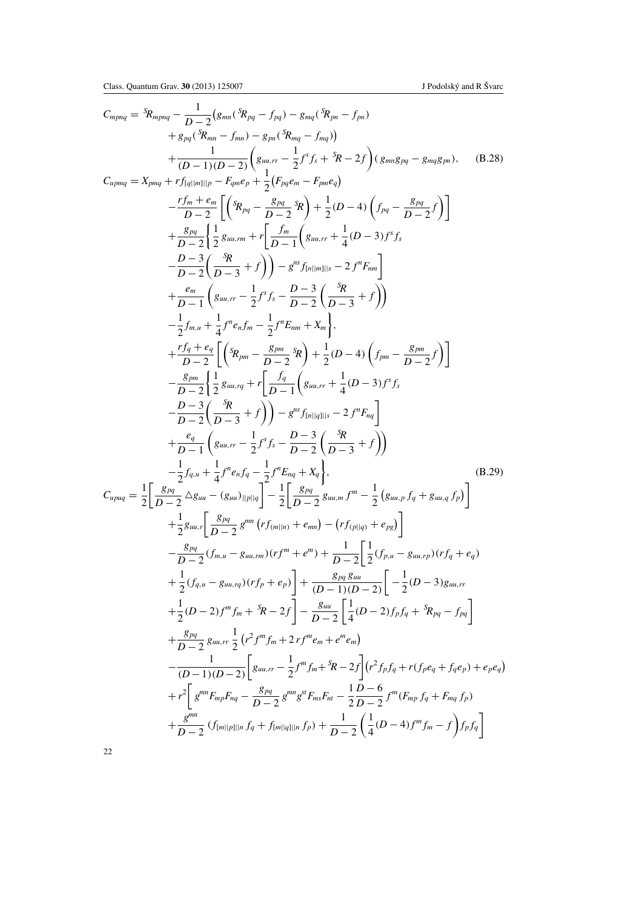<span id="page-22-0"></span>
$$
C_{mpnq} = {}^{S}\!R_{mpnq} - \frac{1}{D-2} (g_{mn} ({}^{S}\!R_{pq} - f_{pq}) - g_{mq} ({}^{S}\!R_{pn} - f_{pn})
$$
  
\n
$$
+ g_{pq} ({}^{S}\!R_{mn} - f_{mn}) - g_{pn} ({}^{S}\!R_{mq} - f_{nq})
$$
  
\n
$$
+ \frac{1}{(D-1)(D-2)} (g_{mn, r} - \frac{1}{2} f^{s} f_{s} + {}^{S}\!R - 2 f)(g_{mn} g_{pq} - g_{mq} g_{pn}), \quad (B.28)
$$
  
\n
$$
C_{tpmq} = X_{pmn} + r f_{nq||m||p} - F_{qm} e_{p} + \frac{1}{2} (F_{pq} e_{m} - F_{pm} e_{q})
$$
  
\n
$$
- \frac{r f_{m} + e_{m}}{D-2} \left[ \left( {}^{S}\!R_{pq} - \frac{S_{pq}}{D-2} {}^{S}\!R \right) + \frac{1}{2} (D-4) \left( f_{pq} - \frac{S_{pq}}{D-2} f \right) \right]
$$
  
\n
$$
+ \frac{g_{pq}}{D-2} \left( \frac{1}{2} g_{mn, r} + r \left[ \frac{f_{m}}{D-1} \left( g_{mn, r} + \frac{1}{4} (D-3) f^{s} f_{s} \right) \right]
$$
  
\n
$$
- \frac{D-3}{D-2} \left( \frac{S_{pq}}{D-3} + f \right) \right) - g^{ns} f_{n||m||s} - 2 f^{n} F_{nm} \right]
$$
  
\n
$$
+ \frac{r f_{q}}{D-1} \left( g_{mn, r} - \frac{1}{2} f^{s} f_{s} - \frac{D-3}{D-2} \left( \frac{S_{pq}}{D-3} + f \right) \right)
$$
  
\n
$$
- \frac{1}{2} f_{mn} + \frac{1}{4} f^{n} e_{n} f_{m} - \frac{1}{2} f^{n} E_{mn} + X_{m} \right],
$$
  
\n
$$
+ \frac{r f_{q}}{D-2} \left[ \left( {}^{S}\!R_{pm} - \frac{S_{pm}}{D-2} {}^{
$$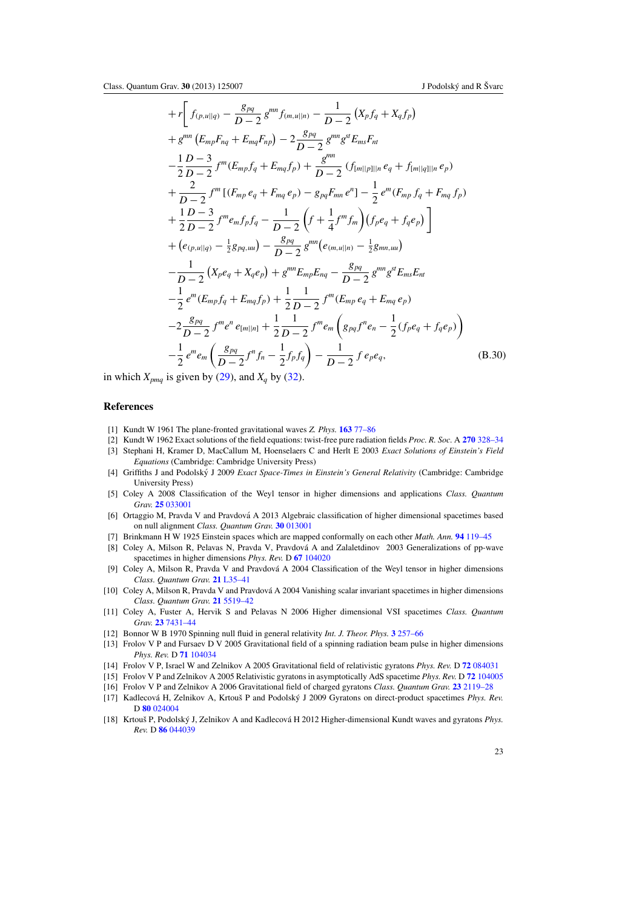<span id="page-23-0"></span>
$$
+r\bigg[f_{(p,u||q)} - \frac{g_{pq}}{D-2}g^{mn}f_{(m,u||n)} - \frac{1}{D-2}(X_pf_q + X_qf_p) +g^{mn}(E_{mp}F_{nq} + E_{mq}F_{np}) - 2\frac{g_{pq}}{D-2}g^{mn}g^{st}E_{ms}F_{nt} -\frac{1}{2}\frac{D-3}{D-2}f^{m}(E_{mp}f_q + E_{mq}f_p) + \frac{g^{mn}}{D-2}(f_{[m||p]||n}e_q + f_{[m||q]||n}e_p) + \frac{2}{D-2}f^{m}[(F_{mp}e_q + F_{mq}e_p) - g_{pq}F_{mn}e^{n}] - \frac{1}{2}e^{m}(F_{mp}f_q + F_{mq}f_p) + \frac{1}{2}\frac{D-3}{D-2}f^{m}e_{m}f_{p}f_q - \frac{1}{D-2}(f + \frac{1}{4}f^{m}f_{m})(f_{p}e_q + f_{q}e_p) + (e_{(p,u||q)} - \frac{1}{2}g_{pq,uu}) - \frac{g_{pq}}{D-2}g^{mn}(e_{(m,u||n)} - \frac{1}{2}g_{mn,uu}) - \frac{1}{D-2}(X_pe_q + X_qe_p) + g^{mn}E_{mp}E_{nq} - \frac{g_{pq}}{D-2}g^{mn}g^{st}E_{ms}E_{nt} - \frac{1}{2}e^{m}(E_{mp}f_q + E_{mq}f_p) + \frac{1}{2}\frac{1}{D-2}f^{m}(E_{mp}e_q + E_{mq}e_p) - 2\frac{g_{pq}}{D-2}f^{m}e^{n}e_{[m||n]} + \frac{1}{2}\frac{1}{D-2}f^{m}e_{m}(g_{pq}f^{n}e_n - \frac{1}{2}(f_{p}e_q + f_{q}e_p)) - \frac{1}{2}e^{m}e_{m}(\frac{g_{pq}}{D-2}f^{n}f_n - \frac{1}{2}f_{p}f_q) - \frac{1}{D-2}f e_{p}e_q, \qquad (B.30)
$$

in which  $X_{pmq}$  is given by [\(29\)](#page-6-0), and  $X_q$  by [\(32\)](#page-6-0).

# **References**

- [1] Kundt W 1961 The plane-fronted gravitational waves *Z. Phys.* **163** [77–86](http://dx.doi.org/10.1007/BF01328918)
- [2] Kundt W 1962 Exact solutions of the field equations: twist-free pure radiation fields *Proc. R. Soc.* A **270** [328–34](http://dx.doi.org/10.1098/rspa.1962.0224)
- [3] Stephani H, Kramer D, MacCallum M, Hoenselaers C and Herlt E 2003 *Exact Solutions of Einstein's Field Equations* (Cambridge: Cambridge University Press[\)](http://dx.doi.org/10.1017/CBO9780511535185)
- [4] Griffiths J and Podolský J 2009 *Exact Space-Times in Einstein's General Relativity* (Cambridge: Cambridge University Press[\)](http://dx.doi.org/10.1017/CBO9780511635397)
- [5] Coley A 2008 Classification of the Weyl tensor in higher dimensions and applications *Class. Quantum Grav.* **25** [033001](http://dx.doi.org/10.1088/0264-9381/25/3/033001)
- [6] Ortaggio M, Pravda V and Pravdová A 2013 Algebraic classification of higher dimensional spacetimes based on null alignment *Class. Quantum Grav.* **30** [013001](http://dx.doi.org/10.1088/0264-9381/30/1/013001)
- [7] Brinkmann H W 1925 Einstein spaces which are mapped conformally on each other *Math. Ann.* **94** [119–45](http://dx.doi.org/10.1007/BF01208647)
- [8] Coley A, Milson R, Pelavas N, Pravda V, Pravdová A and Zalaletdinov 2003 Generalizations of pp-wave spacetimes in higher dimensions *Phys. Rev.* D **67** [104020](http://dx.doi.org/10.1103/PhysRevD.67.104020)
- [9] Coley A, Milson R, Pravda V and Pravdová A 2004 Classification of the Weyl tensor in higher dimensions *Class. Quantum Grav.* **21** [L35–41](http://dx.doi.org/10.1088/0264-9381/21/7/L01)
- [10] Coley A, Milson R, Pravda V and Pravdová A 2004 Vanishing scalar invariant spacetimes in higher dimensions *Class. Quantum Grav.* **21** [5519–42](http://dx.doi.org/10.1088/0264-9381/21/23/014)
- [11] Coley A, Fuster A, Hervik S and Pelavas N 2006 Higher dimensional VSI spacetimes *Class. Quantum Grav.* **23** [7431–44](http://dx.doi.org/10.1088/0264-9381/23/24/014)
- [12] Bonnor W B 1970 Spinning null fluid in general relativity *Int. J. Theor. Phys.* **3** [257–66](http://dx.doi.org/10.1007/BF00669753)
- [13] Frolov V P and Fursaev D V 2005 Gravitational field of a spinning radiation beam pulse in higher dimensions *Phys. Rev.* D **71** [104034](http://dx.doi.org/10.1103/PhysRevD.71.104034)
- [14] Frolov V P, Israel W and Zelnikov A 2005 Gravitational field of relativistic gyratons *Phys. Rev.* D **72** [084031](http://dx.doi.org/10.1103/PhysRevD.72.084031)
- [15] Frolov V P and Zelnikov A 2005 Relativistic gyratons in asymptotically AdS spacetime *Phys. Rev.* D **72** [104005](http://dx.doi.org/10.1103/PhysRevD.72.104005)
- [16] Frolov V P and Zelnikov A 2006 Gravitational field of charged gyratons *Class. Quantum Grav.* **23** [2119–28](http://dx.doi.org/10.1088/0264-9381/23/6/014)
- [17] Kadlecová H, Zelnikov A, Krtouš P and Podolský J 2009 Gyratons on direct-product spacetimes Phys. Rev. D **80** [024004](http://dx.doi.org/10.1103/PhysRevD.80.024004)
- [18] Krtouš P, Podolský J, Zelnikov A and Kadlecová H 2012 Higher-dimensional Kundt waves and gyratons *Phys. Rev.* D **86** [044039](http://dx.doi.org/10.1103/PhysRevD.86.044039)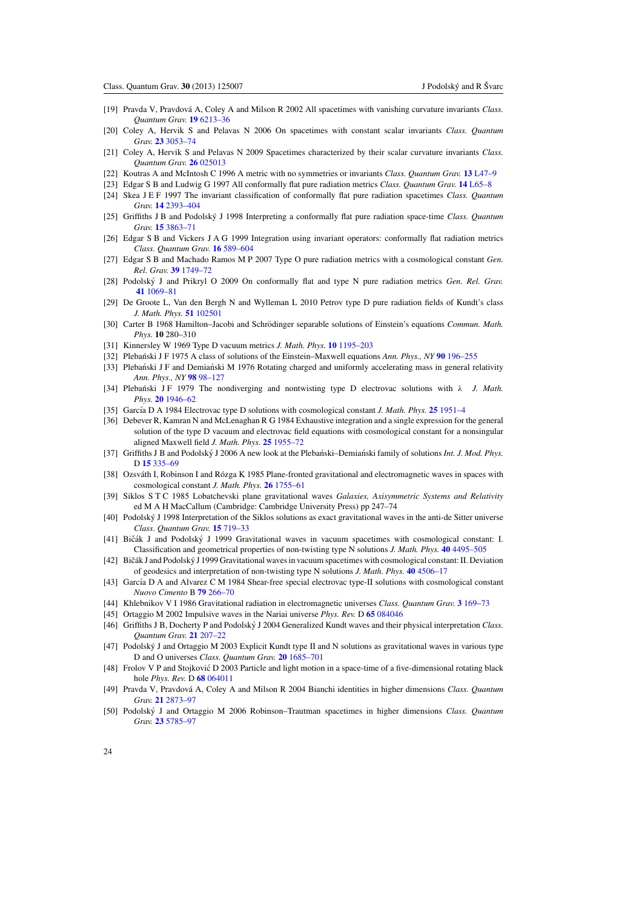- <span id="page-24-0"></span>[19] Pravda V, Pravdová A, Coley A and Milson R 2002 All spacetimes with vanishing curvature invariants *Class*. *Quantum Grav.* **19** [6213–36](http://dx.doi.org/10.1088/0264-9381/19/23/318)
- [20] Coley A, Hervik S and Pelavas N 2006 On spacetimes with constant scalar invariants *Class. Quantum Grav.* **23** [3053–74](http://dx.doi.org/10.1088/0264-9381/23/9/018)
- [21] Coley A, Hervik S and Pelavas N 2009 Spacetimes characterized by their scalar curvature invariants *Class. Quantum Grav.* **26** [025013](http://dx.doi.org/10.1088/0264-9381/26/2/025013)
- [22] Koutras A and McIntosh C 1996 A metric with no symmetries or invariants *Class. Quantum Grav.* **13** [L47–9](http://dx.doi.org/10.1088/0264-9381/13/5/002)
- [23] Edgar S B and Ludwig G 1997 All conformally flat pure radiation metrics *Class. Quantum Grav.* **14** [L65–8](http://dx.doi.org/10.1088/0264-9381/14/4/001)
- [24] Skea J E F 1997 The invariant classification of conformally flat pure radiation spacetimes *Class. Quantum Grav.* **14** [2393–404](http://dx.doi.org/10.1088/0264-9381/14/8/031)
- [25] Griffiths J B and Podolsky J 1998 Interpreting a conformally flat pure radiation space-time ´ *Class. Quantum Grav.* **15** [3863–71](http://dx.doi.org/10.1088/0264-9381/15/12/015)
- [26] Edgar S B and Vickers J A G 1999 Integration using invariant operators: conformally flat radiation metrics *Class. Quantum Grav.* **16** [589–604](http://dx.doi.org/10.1088/0264-9381/16/2/020)
- [27] Edgar S B and Machado Ramos M P 2007 Type O pure radiation metrics with a cosmological constant *Gen. Rel. Grav.* **39** [1749–72](http://dx.doi.org/10.1007/s10714-007-0487-2)
- [28] Podolský J and Prikryl O 2009 On conformally flat and type N pure radiation metrics Gen. Rel. Grav. **41** [1069–81](http://dx.doi.org/10.1007/s10714-008-0692-7)
- [29] De Groote L, Van den Bergh N and Wylleman L 2010 Petrov type D pure radiation fields of Kundt's class *J. Math. Phys.* **51** [102501](http://dx.doi.org/10.1063/1.3502459)
- [30] Carter B 1968 Hamilton–Jacobi and Schrödinger separable solutions of Einstein's equations *Commun. Math. Phys.* **10** 280–310
- [31] Kinnersley W 1969 Type D vacuum metrics *J. Math. Phys.* **10** [1195–203](http://dx.doi.org/10.1063/1.1664958)
- [32] Plebanski J F 1975 A class of solutions of the Einstein–Maxwell equations Ann. Phys., NY 90 [196–255](http://dx.doi.org/10.1016/0003-4916(75)90145-1)
- [33] Plebański J F and Demiański M 1976 Rotating charged and uniformly accelerating mass in general relativity *Ann. Phys., NY* **98** [98–127](http://dx.doi.org/10.1016/0003-4916(76)90240-2)
- [34] Plebanski JF 1979 The nondiverging and nontwisting type D electrovac solutions with λ *J. Math. Phys.* **20** [1946–62](http://dx.doi.org/10.1063/1.524295)
- [35] García D A 1984 Electrovac type D solutions with cosmological constant *J. Math. Phys.* **25** [1951–4](http://dx.doi.org/10.1063/1.526385)
- [36] Debever R, Kamran N and McLenaghan R G 1984 Exhaustive integration and a single expression for the general solution of the type D vacuum and electrovac field equations with cosmological constant for a nonsingular aligned Maxwell field *J. Math. Phys.* **25** [1955–72](http://dx.doi.org/10.1063/1.526386)
- [37] Griffiths J B and Podolský J 2006 A new look at the Plebański–Demiański family of solutions *Int. J. Mod. Phys.* D **15** [335–69](http://dx.doi.org/10.1142/S0218271806007742)
- [38] Ozsváth I, Robinson I and Rózga K 1985 Plane-fronted gravitational and electromagnetic waves in spaces with cosmological constant *J. Math. Phys.* **26** [1755–61](http://dx.doi.org/10.1063/1.526887)
- [39] Siklos S T C 1985 Lobatchevski plane gravitational waves *Galaxies, Axisymmetric Systems and Relativity* ed M A H MacCallum (Cambridge: Cambridge University Press) pp 247–74
- [40] Podolsky J 1998 Interpretation of the Siklos solutions as exact gravitational waves in the anti-de Sitter universe ´ *Class. Quantum Grav.* **15** [719–33](http://dx.doi.org/10.1088/0264-9381/15/3/019)
- [41] Bičák J and Podolský J 1999 Gravitational waves in vacuum spacetimes with cosmological constant: I. Classification and geometrical properties of non-twisting type N solutions *J. Math. Phys.* **40** [4495–505](http://dx.doi.org/10.1063/1.532981)
- [42] Bičák J and Podolský J 1999 Gravitational waves in vacuum spacetimes with cosmological constant: II. Deviation of geodesics and interpretation of non-twisting type N solutions *J. Math. Phys.* **40** [4506–17](http://dx.doi.org/10.1063/1.532982)
- [43] García D A and Alvarez C M 1984 Shear-free special electrovac type-II solutions with cosmological constant *Nuovo Cimento* B **79** [266–70](http://dx.doi.org/10.1007/BF02748975)
- [44] Khlebnikov V I 1986 Gravitational radiation in electromagnetic universes *Class. Quantum Grav.* **3** [169–73](http://dx.doi.org/10.1088/0264-9381/3/2/010)
- [45] Ortaggio M 2002 Impulsive waves in the Nariai universe *Phys. Rev.* D **65** [084046](http://dx.doi.org/10.1103/PhysRevD.65.084046)
- [46] Griffiths J B, Docherty P and Podolský J 2004 Generalized Kundt waves and their physical interpretation Class. *Quantum Grav.* **21** [207–22](http://dx.doi.org/10.1088/0264-9381/21/1/014)
- [47] Podolsky J and Ortaggio M 2003 Explicit Kundt type II and N solutions as gravitational waves in various type ´ D and O universes *Class. Quantum Grav.* **20** [1685–701](http://dx.doi.org/10.1088/0264-9381/20/9/307)
- [48] Frolov V P and Stojkovic D 2003 Particle and light motion in a space-time of a five-dimensional rotating black ´ hole *Phys. Rev.* D **68** [064011](http://dx.doi.org/10.1103/PhysRevD.68.064011)
- [49] Pravda V, Pravdova A, Coley A and Milson R 2004 Bianchi identities in higher dimensions ´ *Class. Quantum Grav.* **21** [2873–97](http://dx.doi.org/10.1088/0264-9381/21/12/007)
- [50] Podolský J and Ortaggio M 2006 Robinson-Trautman spacetimes in higher dimensions Class. Quantum *Grav.* **23** [5785–97](http://dx.doi.org/10.1088/0264-9381/23/20/002)